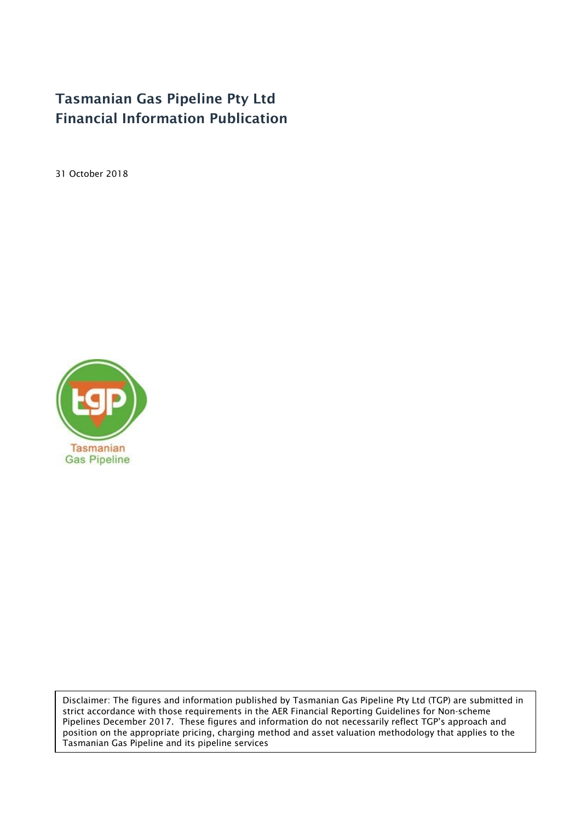# Tasmanian Gas Pipeline Pty Ltd Financial Information Publication

31 October 2018



Disclaimer: The figures and information published by Tasmanian Gas Pipeline Pty Ltd (TGP) are submitted in strict accordance with those requirements in the AER Financial Reporting Guidelines for Non-scheme Pipelines December 2017. These figures and information do not necessarily reflect TGP's approach and position on the appropriate pricing, charging method and asset valuation methodology that applies to the Tasmanian Gas Pipeline and its pipeline services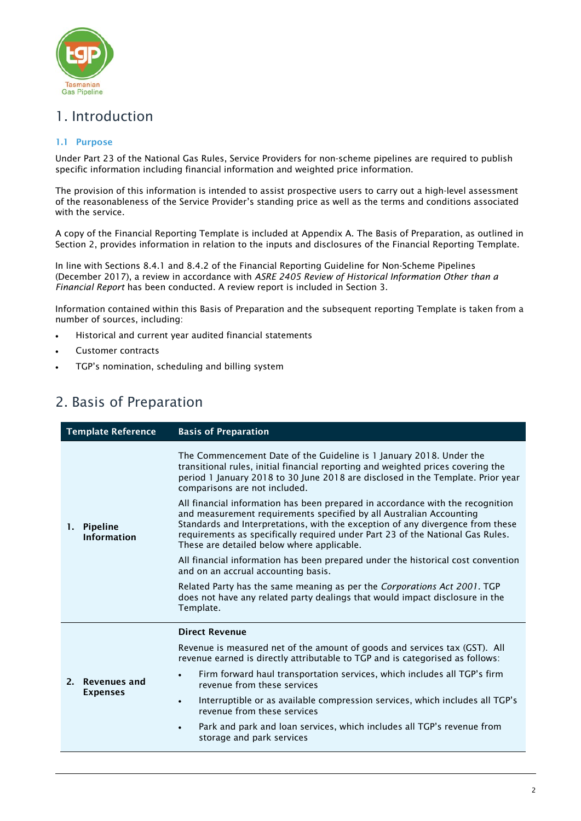

# 1. Introduction

### 1.1 Purpose

Under Part 23 of the National Gas Rules, Service Providers for non-scheme pipelines are required to publish specific information including financial information and weighted price information.

The provision of this information is intended to assist prospective users to carry out a high-level assessment of the reasonableness of the Service Provider's standing price as well as the terms and conditions associated with the service.

A copy of the Financial Reporting Template is included at Appendix A. The Basis of Preparation, as outlined in Section 2, provides information in relation to the inputs and disclosures of the Financial Reporting Template.

In line with Sections 8.4.1 and 8.4.2 of the Financial Reporting Guideline for Non-Scheme Pipelines (December 2017), a review in accordance with *ASRE 2405 Review of Historical Information Other than a Financial Report* has been conducted. A review report is included in Section 3.

Information contained within this Basis of Preparation and the subsequent reporting Template is taken from a number of sources, including:

- Historical and current year audited financial statements
- Customer contracts
- TGP's nomination, scheduling and billing system

# 2. Basis of Preparation

| <b>Template Reference</b> |                                        | <b>Basis of Preparation</b>                                                                                                                                                                                                                                                                                                                                             |
|---------------------------|----------------------------------------|-------------------------------------------------------------------------------------------------------------------------------------------------------------------------------------------------------------------------------------------------------------------------------------------------------------------------------------------------------------------------|
|                           | 1. Pipeline<br><b>Information</b>      | The Commencement Date of the Guideline is 1 January 2018. Under the<br>transitional rules, initial financial reporting and weighted prices covering the<br>period 1 January 2018 to 30 June 2018 are disclosed in the Template. Prior year<br>comparisons are not included.                                                                                             |
|                           |                                        | All financial information has been prepared in accordance with the recognition<br>and measurement requirements specified by all Australian Accounting<br>Standards and Interpretations, with the exception of any divergence from these<br>requirements as specifically required under Part 23 of the National Gas Rules.<br>These are detailed below where applicable. |
|                           |                                        | All financial information has been prepared under the historical cost convention<br>and on an accrual accounting basis.                                                                                                                                                                                                                                                 |
|                           |                                        | Related Party has the same meaning as per the Corporations Act 2001. TGP<br>does not have any related party dealings that would impact disclosure in the<br>Template.                                                                                                                                                                                                   |
|                           |                                        | <b>Direct Revenue</b>                                                                                                                                                                                                                                                                                                                                                   |
|                           | <b>Revenues and</b><br><b>Expenses</b> | Revenue is measured net of the amount of goods and services tax (GST). All<br>revenue earned is directly attributable to TGP and is categorised as follows:                                                                                                                                                                                                             |
| 2.                        |                                        | Firm forward haul transportation services, which includes all TGP's firm<br>revenue from these services                                                                                                                                                                                                                                                                 |
|                           |                                        | Interruptible or as available compression services, which includes all TGP's<br>$\bullet$<br>revenue from these services                                                                                                                                                                                                                                                |
|                           |                                        | Park and park and loan services, which includes all TGP's revenue from<br>$\bullet$<br>storage and park services                                                                                                                                                                                                                                                        |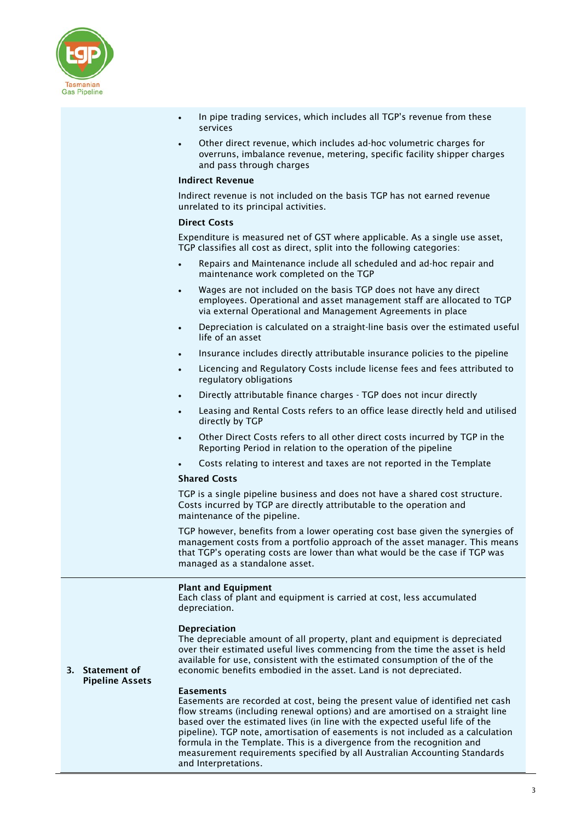

- In pipe trading services, which includes all TGP's revenue from these services
- Other direct revenue, which includes ad-hoc volumetric charges for overruns, imbalance revenue, metering, specific facility shipper charges and pass through charges

### Indirect Revenue

Indirect revenue is not included on the basis TGP has not earned revenue unrelated to its principal activities.

#### Direct Costs

Expenditure is measured net of GST where applicable. As a single use asset, TGP classifies all cost as direct, split into the following categories:

- Repairs and Maintenance include all scheduled and ad-hoc repair and maintenance work completed on the TGP
- Wages are not included on the basis TGP does not have any direct employees. Operational and asset management staff are allocated to TGP via external Operational and Management Agreements in place
- Depreciation is calculated on a straight-line basis over the estimated useful life of an asset
- Insurance includes directly attributable insurance policies to the pipeline
- Licencing and Regulatory Costs include license fees and fees attributed to regulatory obligations
- Directly attributable finance charges TGP does not incur directly
- Leasing and Rental Costs refers to an office lease directly held and utilised directly by TGP
- Other Direct Costs refers to all other direct costs incurred by TGP in the Reporting Period in relation to the operation of the pipeline
- Costs relating to interest and taxes are not reported in the Template

### Shared Costs

TGP is a single pipeline business and does not have a shared cost structure. Costs incurred by TGP are directly attributable to the operation and maintenance of the pipeline.

TGP however, benefits from a lower operating cost base given the synergies of management costs from a portfolio approach of the asset manager. This means that TGP's operating costs are lower than what would be the case if TGP was managed as a standalone asset.

### Plant and Equipment

Each class of plant and equipment is carried at cost, less accumulated depreciation.

### Depreciation

The depreciable amount of all property, plant and equipment is depreciated over their estimated useful lives commencing from the time the asset is held available for use, consistent with the estimated consumption of the of the economic benefits embodied in the asset. Land is not depreciated.

#### 3. Statement of Pipeline Assets

#### **Easements**

Easements are recorded at cost, being the present value of identified net cash flow streams (including renewal options) and are amortised on a straight line based over the estimated lives (in line with the expected useful life of the pipeline). TGP note, amortisation of easements is not included as a calculation formula in the Template. This is a divergence from the recognition and measurement requirements specified by all Australian Accounting Standards and Interpretations.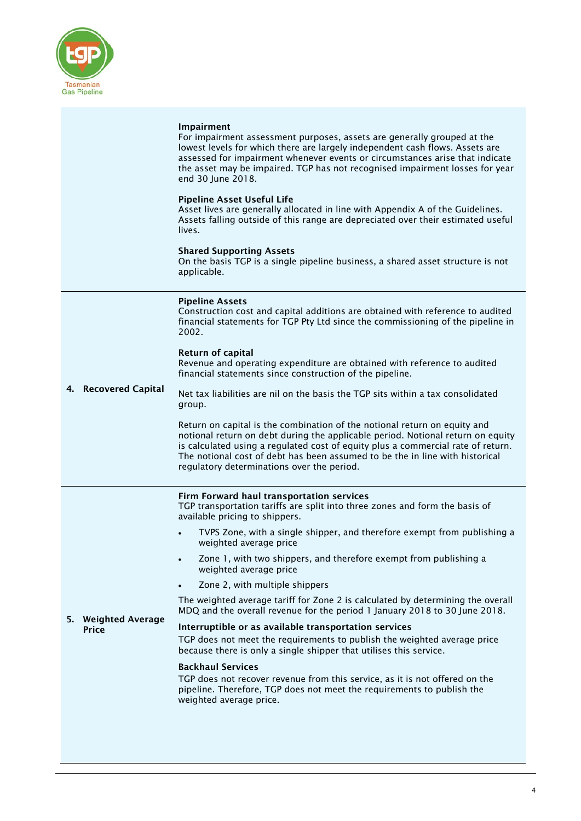

### Impairment

For impairment assessment purposes, assets are generally grouped at the lowest levels for which there are largely independent cash flows. Assets are assessed for impairment whenever events or circumstances arise that indicate the asset may be impaired. TGP has not recognised impairment losses for year end 30 June 2018.

#### Pipeline Asset Useful Life

Asset lives are generally allocated in line with Appendix A of the Guidelines. Assets falling outside of this range are depreciated over their estimated useful lives.

#### Shared Supporting Assets

On the basis TGP is a single pipeline business, a shared asset structure is not applicable.

#### Pipeline Assets

Construction cost and capital additions are obtained with reference to audited financial statements for TGP Pty Ltd since the commissioning of the pipeline in 2002.

#### Return of capital

Revenue and operating expenditure are obtained with reference to audited financial statements since construction of the pipeline.

#### 4. Recovered Capital Net tax liabilities are nil on the basis the TGP sits within a tax consolidated group.

Return on capital is the combination of the notional return on equity and notional return on debt during the applicable period. Notional return on equity is calculated using a regulated cost of equity plus a commercial rate of return. The notional cost of debt has been assumed to be the in line with historical regulatory determinations over the period.

### Firm Forward haul transportation services

TGP transportation tariffs are split into three zones and form the basis of available pricing to shippers.

- TVPS Zone, with a single shipper, and therefore exempt from publishing a weighted average price
- Zone 1, with two shippers, and therefore exempt from publishing a weighted average price
- Zone 2, with multiple shippers

The weighted average tariff for Zone 2 is calculated by determining the overall MDQ and the overall revenue for the period 1 January 2018 to 30 June 2018.

5. Weighted Average Price Interruptible or as available transportation services TGP does not meet the requirements to publish the weighted average price

### because there is only a single shipper that utilises this service. Backhaul Services

TGP does not recover revenue from this service, as it is not offered on the pipeline. Therefore, TGP does not meet the requirements to publish the weighted average price.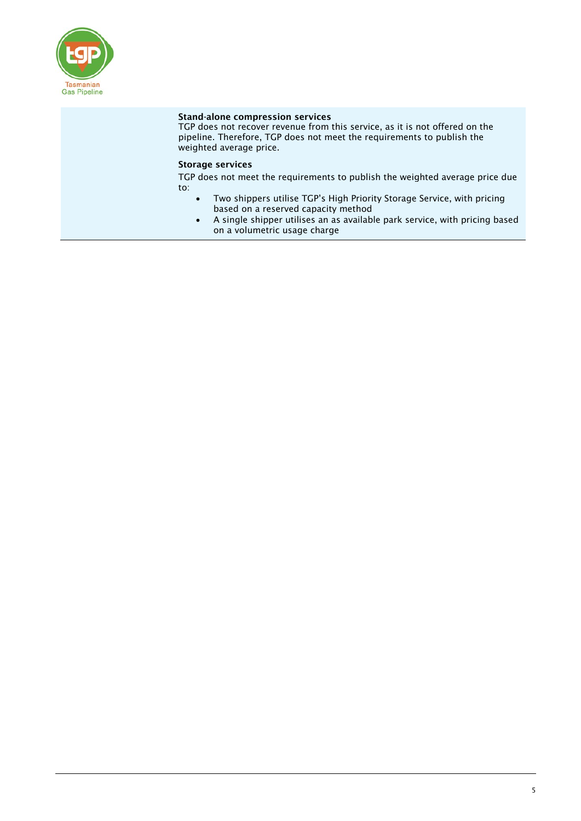

### Stand-alone compression services

TGP does not recover revenue from this service, as it is not offered on the pipeline. Therefore, TGP does not meet the requirements to publish the weighted average price.

### Storage services

TGP does not meet the requirements to publish the weighted average price due to:

- Two shippers utilise TGP's High Priority Storage Service, with pricing based on a reserved capacity method
- A single shipper utilises an as available park service, with pricing based on a volumetric usage charge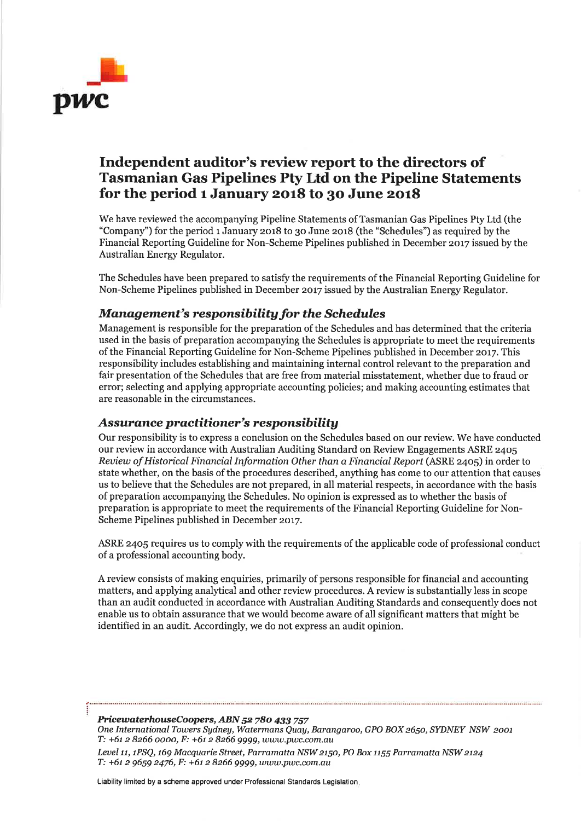

# Independent auditor's review report to the directors of Tasmanian Gas Pipelines Pty Ltd on the Pipeline Statements for the period  $1$  January 2018 to 30 June 2018

We have reviewed the accompanying Pipeline Statements of Tasmanian Gas Pipelines Pty Ltd (the "Company") for the period 1 January 2018 to 30 June 2018 (the "Schedules") as required by the Financial Reporting Guideline for Non-Scheme Pipelines published in December 2017 issued by the Australian Energy Regulator.

The Schedules have been prepared to satisfy the requirements of the Financial Reporting Guideline for Non-Scheme Pipelines published in December 2017 issued by the Australian Energy Regulator.

## Management's responsibility for the Schedules

Management is responsible for the preparation of the Schedules and has determined that the criteria used in the basis of preparation accompanying the Schedules is appropriate to meet the requirements of the Financial Reporting Guideline for Non-Scheme Pipelines published in December zor7. This responsibility includes establishing and maintaining internal control relevant to the preparation and fair presentation of the Schedules that are free from material misstatement, whether due to fraud or error; selecting and applying appropriate accounting policies; and making accounting estimates that are reasonable in the circumstances.

### Assurance practitioner's responsibility

Our responsibility is to express a conclusion on the Schedules based on our review. We have conducted our review in accordance with Australian Auditing Standard on Review Engagements ASRE z4o5 Review of Historical Financial Information Other than a Financial Report (ASRE 2405) in order to state whether, on the basis of the procedures described, anything has come to our attention that causes us to believe that the Schedules are not prepared, in all material respects, in accordance with the basis of preparation accompanying the Schedules. No opinion is expressed as to whether the basis of preparation is appropriate to meet the requirements of the Financial Reporting Guideline for Non-Scheme Pipelines published in December 2017.

ASRE z4o5 requires us to comply with the requirements of the applicable code of professional conduct of a professional accounting body.

A review consists of making enquiries, primarily of persons responsible for financial and accounting matters, and applying analytical and other review procedures. A review is substantially less in scope than an audit conducted in accordance with Australian Auditing Standards and consequently does not enable us to obtain assurance that we would become aware of all significant matters that might be identified in an audit. Accordingly, we do not express an audit opinion.

PricewaterhouseCoopers, ABN 52 780 433 757 One International Towers Sydney, Watermans Quay, Barangaroo, GPO BOX 2650, SYDNEY NSW 2001  $T: +61282660000, F: +61282669999, www.pwc.com.au$ 

Level 11, 1PSQ, 169 Macquarie Street, Parramatta NSW 2150, PO Box 1155 Parramatta NSW 2124 T: +6t z 9659 2476, F: +6t z 8266 9999,www.pwc.com.au

Liability limited by a scheme approved under Professional Standards Legislation.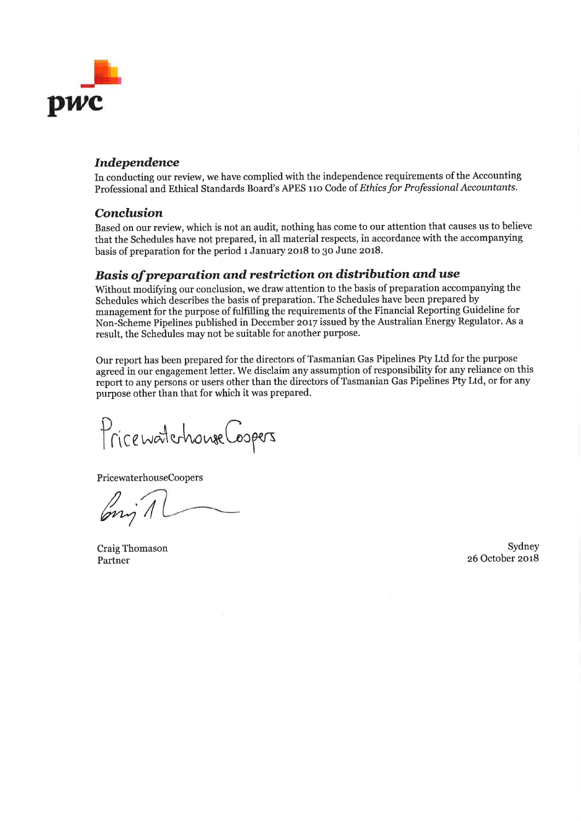

## Independence

In conducting our review, we have complied with the independence requirements of the Accounting Professional and Ethical Standards Board's APES 110 Code of Ethics for Professional Accountants.

## Conclusion

Based on our review, which is not an audit, nothing has come to our attention that causes us to believe that the Schedules have not prepared, in all material respects, in accordance with the accompanying basis of preparation for the period 1 January 2018 to 30 June 2018.

## Basis of preparation and restriction on distribution and use

Without modifying our conclusion, we draw attention to the basis of preparation accompanying the Schedules which describes the basis of preparation. The Schedules have been prepared by management for the purpose of fulfilling the requirements of the Financial Reporting Guideline for Non-Scheme Pipelines published in December 2017 issued by the Australian Energy Regulator. As a result, the Schedules may not be suitable for another purpose.

Our report has been prepared for the directors of Tasmanian Gas Pipelines Pty Ltd for the purpose agreed in our engagement letter. We disclaim any assumption of responsibility for any reliance on this report to any persons or users other than the directors of Tasmanian Gas Pipelines Pty Ltd, or for any purpose other than that for which it was prepared.

Price waterhouse Coopers

PricewaterhouseCoopers

/ ry I

Craig Thomason Partner

Sydney z6 October zor8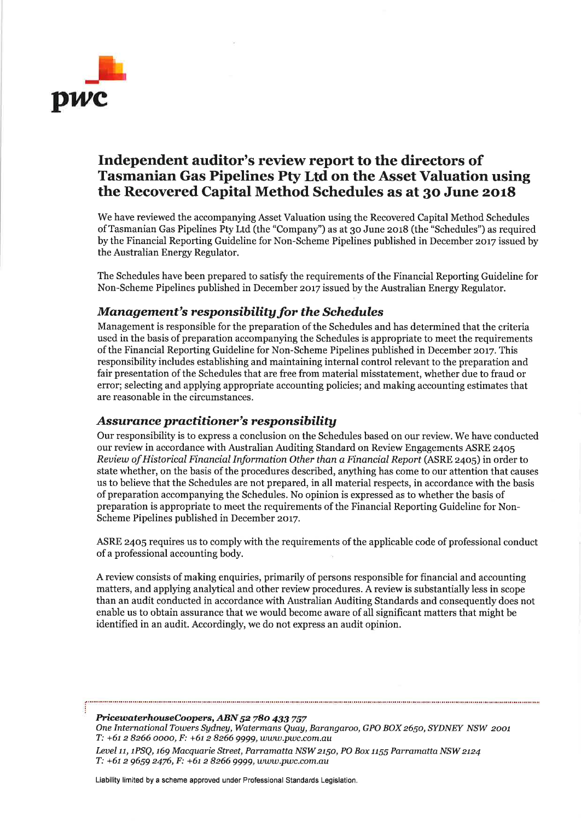

# Independent auditor's review report to the directors of Tasmanian Gas Pipelines Pty Ltd on the Asset Valuation using the Recovered Capital Method Schedules as at 30 June 2018

We have reviewed the accompanying Asset Valuation using the Recovered Capital Method Schedules of Tasmanian Gas Pipelines Pty Ltd (the "Company'') as at 30 June zor8 (the "schedules") as required by the Financial Reporting Guideline for Non-Scheme Pipelines published in December 2017 issued by the Australian Energy Regulator.

The Schedules have been prepared to satisfy the requirements of the Financial Reporting Guideline for Non-Scheme Pipelines published in December 2017 issued by the Australian Energy Regulator.

## Management's responsibility for the Schedules

Management is responsible for the preparation of the Schedules and has determined that the criteria used in the basis of preparation accompanying the Schedules is appropriate to meet the requirements of the Financial Reporting Guideline for Non-Scheme Pipelines published in December zor7. This responsibility includes establishing and maintaining internal control relevant to the preparation and fair presentation of the Schedules that are free from material misstatement, whether due to fraud or error; selecting and applying appropriate accounting policies; and making accounting estimates that are reasonable in the circumstances.

### Assurance practitioner's responsibility

Our responsibility is to express a conclusion on the Schedules based on our review. We have conducted our review in accordance with Australian Auditing Standard on Review Engagements ASRE 2405 Reuiew of Historical Financial Information Other than a Financial Report (ASRE 24oS) in order to state whether, on the basis of the procedures described, anything has come to our attention that causes us to believe that the Schedules are not prepared, in all material respects, in accordance with the basis of preparation accompanying the Schedules. No opinion is expressed as to whether the basis of preparation is appropriate to meet the requirements of the Financial Reporting Guideline for Non-Scheme Pipelines published in December 2017.

ASRE z4o5 requires us to comply with the requirements of the applicable code of professional conduct ofa professional accounting body.

A review consists of making enquiries, primarily of persons responsible for financial and accounting matters, and applying analytical and other review procedures. A review is substantially less in scope than an audit conducted in accordance with Australian Auditing Standards and consequently does not enable us to obtain assurance that we would become aware of all significant matters that might be identified in an audit. Accordingly, we do not express an audit opinion.

PricewaterhouseCoopers, ABN 52 780 433 757

One International Towers Sydney, Watermans Quay, Barangaroo, GPO BOX 2650, SYDNEY NSW 2001 T: +6t z 8266 oooo, F: +6t z 8266 9999, wwwpwc.com.au

Level 11, 1PSQ, 169 Macquarie Street, Parramatta NSW 2150, PO Box 1155 Parramatta NSW 2124  $T: +61 2 9659 2476$ ,  $F: +61 2 8266 9999$ , www.pwc.com.au

Liability limited by a scheme approved under Professional Standards Legislation.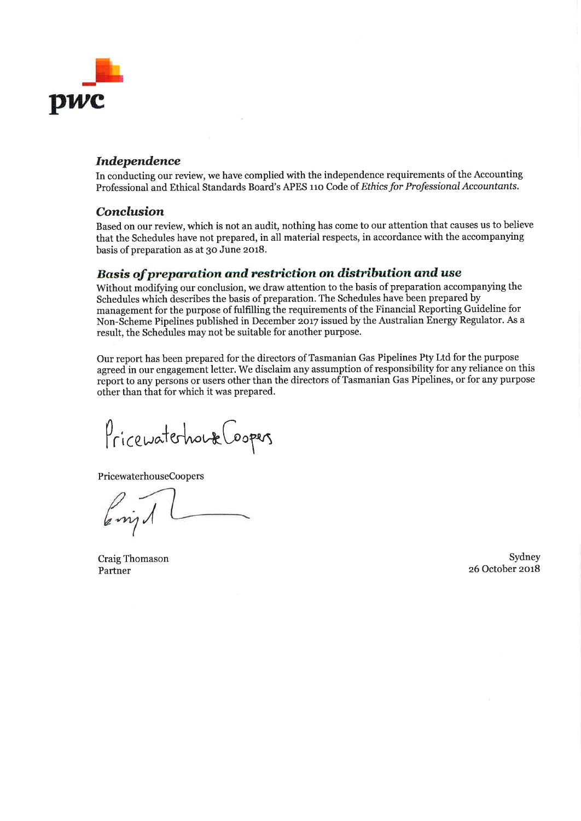

## Independence

In conducting our review, we have complied with the independence requirements of the Accounting Professional and Ethical Standards Board's APES 110 Code of Ethics for Professional Accountants.

### Conelusion

Based on our review, which is not an audit, nothing has come to our attention that causes us to believe that the Schedules have not prepared, in all material respects, in accordance with the accompanying basis of preparation as at 30 June 2018.

## Basis of preparation and restriction on distribution and use

Without modifying our conclusion, we draw attention to the basis of preparation accompanying the Schedules which describes the basis of preparation. The Schedules have been prepared by management for the purpose of fulfilling the requirements of the Financial Reporting Guideline for Non-Scheme Pipelines published in December 2017 issued by the Australian Energy Regulator. As a result, the Schedules may not be suitable for another purpose.

Our report has been prepared for the directors of Tasmanian Gas Pipelines Pty Ltd for the purpose agreed in our engagement letter. We disclaim any assumption of responsibility for any reliance on this report to any persons or users other than the directors of Tasmanian Gas Pipelines, or for any purpose other than that for which it was prepared.

Pricewaterhouse Loopers

PricewaterhouseCoopers

 $\sqrt{2}$ 

Craig Thomason Partner

Sydney 26 October 2018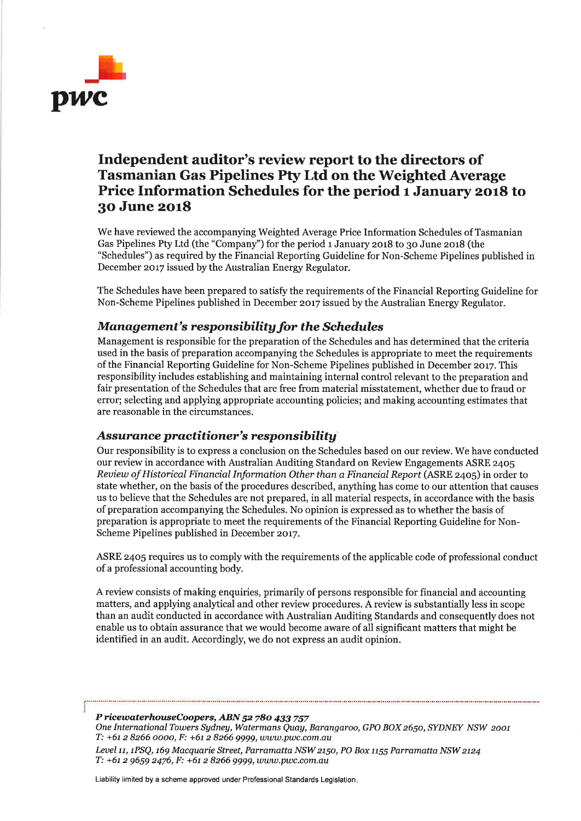

# Independent auditor's review report to the directors of Tasmanian Gas Pipelines Pty Ltd on the Weighted Average Price Information Schedules for the period 1 January 2018 to 3o June zorS

We have reviewed the accompanying Weighted Average Price Information Schedules of Tasmanian Gas Pipelines Pty Ltd (the "Company") for the period 1 January 2018 to 30 June 2018 (the "Schedules") as required by the Financial Reporting Guideline for Non-Scheme Pipelines published in December 2017 issued by the Australian Energy Regulator.

The Schedules have been prepared to satisfr the requirements of the Financial Reporting Guideline for Non-Scheme Pipelines published in December 2or7 issued by the Australian Energy Regulator.

## Management's responsibility for the Schedules

Management is responsible for the preparation of the Schedules and has determined that the criteria used in the basis of preparation accompanying the Schedules is appropriate to meet the requirements of the Financial Reporting Guideline for Non-Scheme Pipelines published in December zor7. This responsibility includes establishing and maintaining internal control relevant to the preparation and fair presentation of the Schedules that are free from material misstatement, whether due to fraud or error; selecting and applying appropriate accounting policies; and making accounting estimates that are reasonable in the circumstances.

## Assurance practitioner's responsibility

Our responsibility is to express a conclusion on the Schedules based on our review. We have conducted our review in accordance with Australian Auditing Standard on Review Engagements ASRE z4o5 Review of Historical Financial Information Other than a Financial Report (ASRE 2405) in order to state whether, on the basis of the procedures described, anything has come to our attention that causes us to believe that the Schedules are not prepared, in all material respects, in accordance with the basis of preparation accompanying the Schedules. No opinion is expressed as to whether the basis of preparation is appropriate to meet the requirements of the Financial Reporting Guideline for Non-Scheme Pipelines published in December 2017.

ASRE z4o5 requires us to complywith the requirements of the applicable code of professional conduct ofa professional accounting body.

A review consists of making enquiries, primarily of persons responsible for financial and accounting matters, and applying analytical and other review procedures. A review is substantiallyless in scope than an audit conducted in accordance with Australian Auditing Standards and consequently does not enable us to obtain assurance that we would become aware of all significant matters that might be identified in an audit. Accordingly, we do not express an audit opinion.

### P ricewaterhouseCoopers, ABN 52 780 433 757

One International Towers Sydney, Watermans Quay, Barangaroo, GPO BOX 2650, SYDNEY NSW 2001 T: +61 2 8266 0000, F: +61 2 8266 9999, www.pwc.com.au

Level 11, 1PSQ, 169 Macquarie Street, Parramatta NSW 2150, PO Box 1155 Parramatta NSW 2124  $T: +61$  2 9659 2476,  $F: +61$  2 8266 9999, www.pwc.com.au

Liability limited by a scheme approved under Professional Standards Legislation.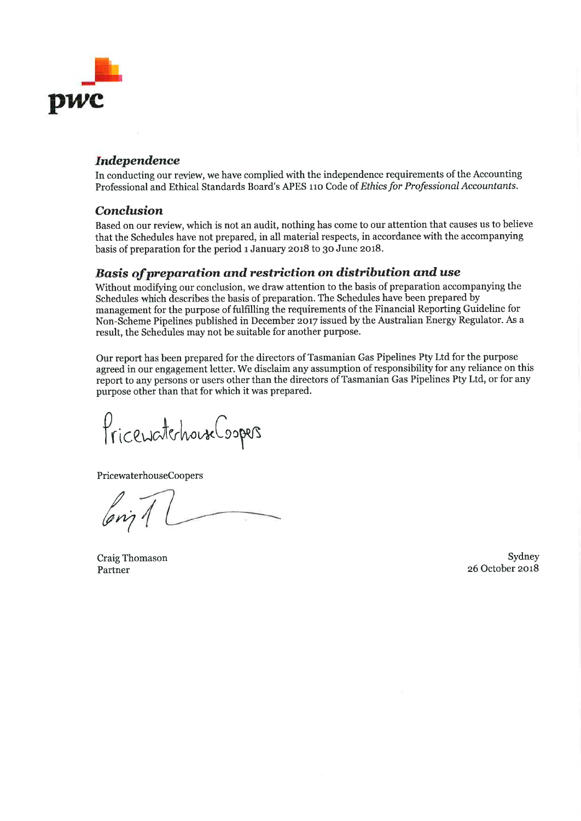

## Independence

In conducting our review, we have complied with the independence requirements of the Accounting Professional and Ethical Standards Board's APES 110 Code of Ethics for Professional Accountants.

### Conclusion

Based on our review, which is not an audit, nothing has come to our attention that causes us to believe that the Schedules have not prepared, in all material respects, in accordance with the accompanying basis of preparation for the period 1 January 2018 to 30 June 2018.

# Basis of preparation and restriction on distribution and use

Without modifying our conclusion, we draw attention to the basis of preparation accompanying the Schedules which describes the basis of preparation. The Schedules have been prepared by management for the purpose of fulfilling the requirements of the Financial Reporting Guideline for Non-Scheme Pipelines published in December 2017 issued by the Australian Energy Regulator. As a result, the Schedules may not be suitable for another purpose.

Our report has been prepared for the directors of Tasmanian Gas Pipelines Pty Ltd for the purpose agreed in our engagement letter. We disclaim any assumption of responsibility for any reliance on this report to any persons or users other than the directors of Tasmanian Gas Pipelines Pty Ltd, or for any purpose other than that for which it was prepared.

PricewatchouseCoopers

PricewaterhouseCoopers

/ ury

Craig Thomason Partner

Sydney z6 October zor8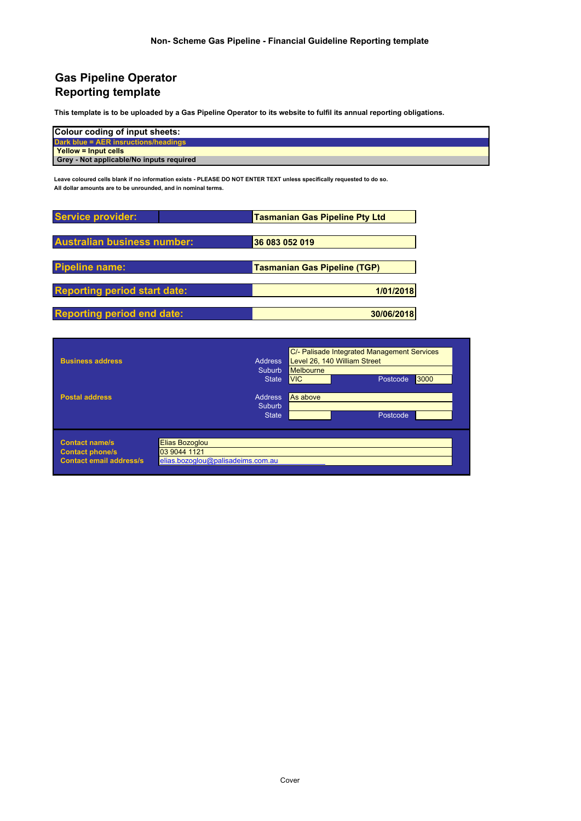## **Gas Pipeline Operator Reporting template**

**This template is to be uploaded by a Gas Pipeline Operator to its website to fulfil its annual reporting obligations.** 

| Colour coding of input sheets:           |
|------------------------------------------|
| Dark blue = AER insructions/headings     |
| Yellow = Input cells                     |
| Grey - Not applicable/No inputs required |

**Leave coloured cells blank if no information exists - PLEASE DO NOT ENTER TEXT unless specifically requested to do so. All dollar amounts are to be unrounded, and in nominal terms.**

| Service provider:                   | <b>Tasmanian Gas Pipeline Pty Ltd</b> |
|-------------------------------------|---------------------------------------|
| <b>Australian business number:</b>  | 36 083 052 019                        |
| <b>Pipeline name:</b>               | <b>Tasmanian Gas Pipeline (TGP)</b>   |
| <b>Reporting period start date:</b> | 1/01/2018                             |
| <b>Reporting period end date:</b>   | 30/06/2018                            |

| <b>Business address</b>                                                           | C/- Palisade Integrated Management Services<br>Level 26, 140 William Street<br><b>Address</b><br>Melbourne<br>Suburb<br><b>VIC</b><br>Postcode<br>3000<br><b>State</b> |
|-----------------------------------------------------------------------------------|------------------------------------------------------------------------------------------------------------------------------------------------------------------------|
| <b>Postal address</b>                                                             | <b>Address</b><br>As above<br>Suburb,<br>Postcode,<br><b>State</b>                                                                                                     |
| <b>Contact name/s</b><br><b>Contact phone/s</b><br><b>Contact email address/s</b> | Elias Bozoglou<br>03 9044 1121<br>elias.bozoglou@palisadeims.com.au                                                                                                    |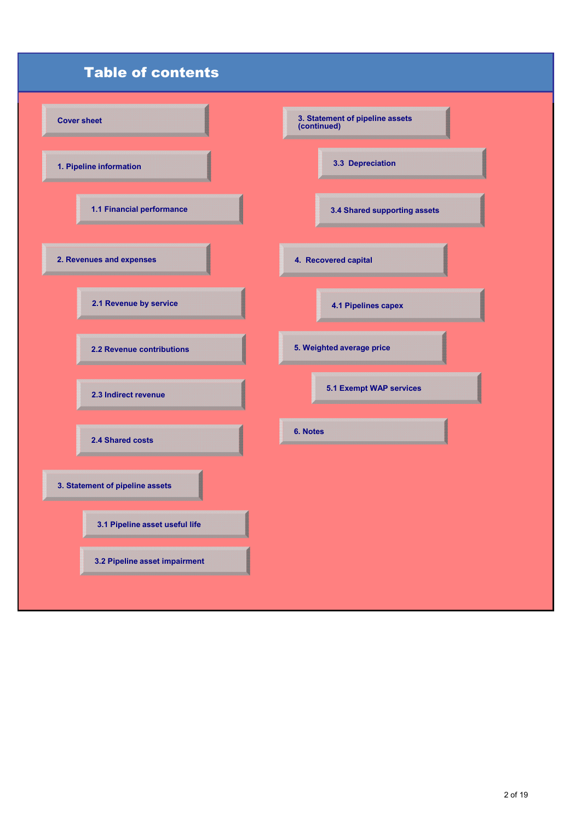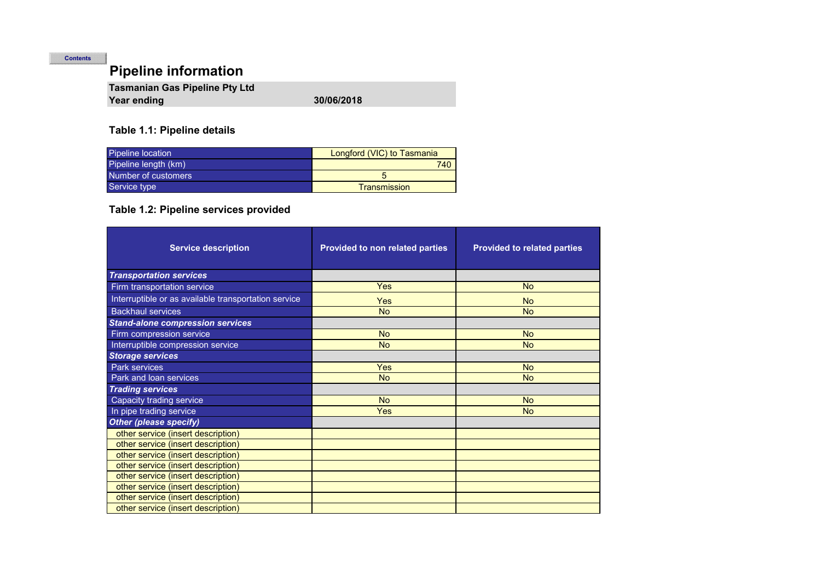# **Pipeline information**

| <b>Tasmanian Gas Pipeline Pty Ltd</b> |            |
|---------------------------------------|------------|
| Year ending                           | 30/06/2018 |

## **Table 1.1: Pipeline details**

| <b>Pipeline location</b> | Longford (VIC) to Tasmania |
|--------------------------|----------------------------|
| Pipeline length (km)     | 740                        |
| Number of customers      |                            |
| Service type             | <b>Transmission</b>        |

# **Table 1.2: Pipeline services provided**

| <b>Service description</b>                           | Provided to non related parties | <b>Provided to related parties</b> |
|------------------------------------------------------|---------------------------------|------------------------------------|
| <b>Transportation services</b>                       |                                 |                                    |
| Firm transportation service                          | <b>Yes</b>                      | <b>No</b>                          |
| Interruptible or as available transportation service | <b>Yes</b>                      | <b>No</b>                          |
| <b>Backhaul services</b>                             | <b>No</b>                       | <b>No</b>                          |
| <b>Stand-alone compression services</b>              |                                 |                                    |
| Firm compression service                             | <b>No</b>                       | <b>No</b>                          |
| Interruptible compression service                    | <b>No</b>                       | <b>No</b>                          |
| <b>Storage services</b>                              |                                 |                                    |
| Park services                                        | <b>Yes</b>                      | <b>No</b>                          |
| Park and loan services                               | <b>No</b>                       | <b>No</b>                          |
| <b>Trading services</b>                              |                                 |                                    |
| <b>Capacity trading service</b>                      | <b>No</b>                       | <b>No</b>                          |
| In pipe trading service                              | <b>Yes</b>                      | <b>No</b>                          |
| <b>Other (please specify)</b>                        |                                 |                                    |
| other service (insert description)                   |                                 |                                    |
| other service (insert description)                   |                                 |                                    |
| other service (insert description)                   |                                 |                                    |
| other service (insert description)                   |                                 |                                    |
| other service (insert description)                   |                                 |                                    |
| other service (insert description)                   |                                 |                                    |
| other service (insert description)                   |                                 |                                    |
| other service (insert description)                   |                                 |                                    |

**Contents**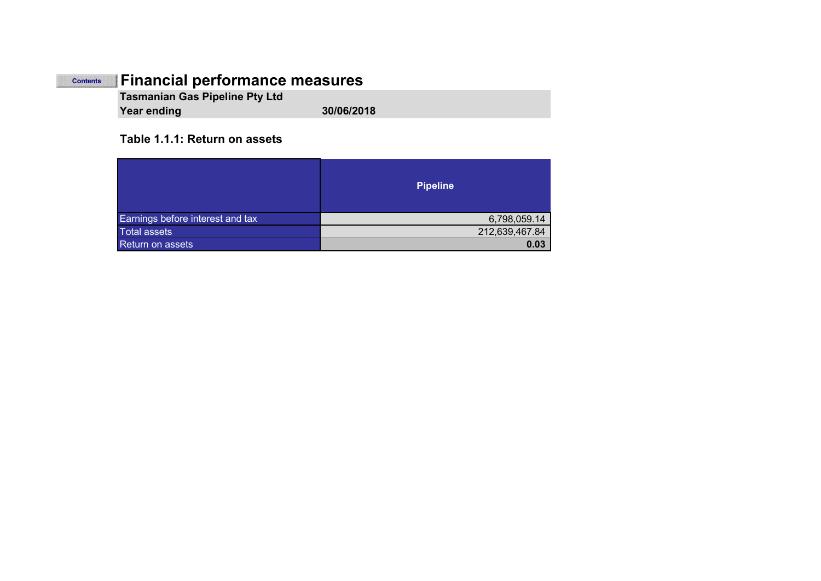#### **Financial performance measures Contents**

**Tasmanian Gas Pipeline Pty Ltd Year ending 30/06/2018**

### **Table 1.1.1: Return on assets**

|                                  | <b>Pipeline</b> |
|----------------------------------|-----------------|
| Earnings before interest and tax | 6,798,059.14    |
| <b>Total assets</b>              | 212,639,467.84  |
| <b>Return on assets</b>          | 0.03            |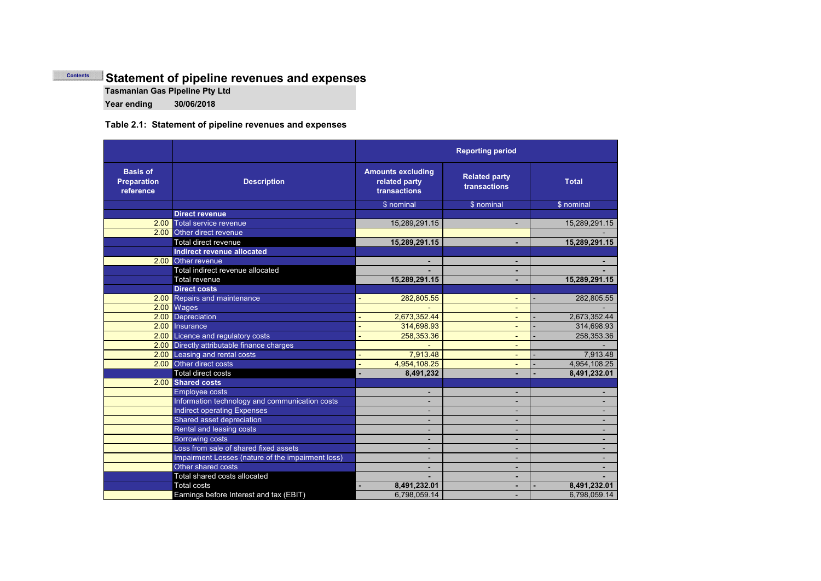### **Statement of pipeline revenues and expenses Contents**

**Tasmanian Gas Pipeline Pty Ltd**

**Year ending 30/06/2018**

### **Table 2.1: Statement of pipeline revenues and expenses**

|                                                    |                                                   | <b>Reporting period</b>                                   |                                      |                          |
|----------------------------------------------------|---------------------------------------------------|-----------------------------------------------------------|--------------------------------------|--------------------------|
| <b>Basis of</b><br><b>Preparation</b><br>reference | <b>Description</b>                                | <b>Amounts excluding</b><br>related party<br>transactions | <b>Related party</b><br>transactions | <b>Total</b>             |
|                                                    |                                                   | \$ nominal                                                | \$ nominal                           | \$ nominal               |
|                                                    | <b>Direct revenue</b>                             |                                                           |                                      |                          |
|                                                    | 2.00 Total service revenue                        | 15,289,291.15                                             | $\overline{\phantom{a}}$             | 15,289,291.15            |
|                                                    | 2.00 Other direct revenue                         |                                                           |                                      |                          |
|                                                    | Total direct revenue                              | 15,289,291.15                                             | ٠                                    | 15,289,291.15            |
|                                                    | <b>Indirect revenue allocated</b>                 |                                                           |                                      |                          |
|                                                    | 2.00 Other revenue                                |                                                           | ۰                                    |                          |
|                                                    | Total indirect revenue allocated                  |                                                           |                                      |                          |
|                                                    | <b>Total revenue</b>                              | 15,289,291.15                                             |                                      | 15,289,291.15            |
|                                                    | <b>Direct costs</b>                               |                                                           |                                      |                          |
|                                                    | 2.00 Repairs and maintenance                      | 282,805.55                                                | $\blacksquare$                       | 282,805.55               |
|                                                    | 2.00 Wages                                        |                                                           | $\blacksquare$                       |                          |
|                                                    | 2.00 Depreciation                                 | 2,673,352.44                                              | $\qquad \qquad \blacksquare$         | 2,673,352.44             |
|                                                    | 2.00 Insurance                                    | 314,698.93                                                | $\qquad \qquad \blacksquare$         | 314.698.93               |
|                                                    | 2.00 Licence and regulatory costs                 | 258,353.36                                                |                                      | 258,353.36               |
|                                                    | 2.00 Directly attributable finance charges        |                                                           | $\blacksquare$                       |                          |
|                                                    | 2.00 Leasing and rental costs                     | 7,913.48                                                  | $\blacksquare$                       | 7,913.48                 |
|                                                    | 2.00 Other direct costs                           | 4,954,108.25                                              | $\blacksquare$                       | 4,954,108.25             |
|                                                    | Total direct costs                                | 8,491,232                                                 | ٠                                    | 8,491,232.01             |
|                                                    | 2.00 Shared costs                                 |                                                           |                                      |                          |
|                                                    | <b>Employee costs</b>                             | $\blacksquare$                                            | $\blacksquare$                       | $\overline{\phantom{a}}$ |
|                                                    | Information technology and communication costs    | $\blacksquare$                                            | ۰                                    |                          |
|                                                    | <b>Indirect operating Expenses</b>                |                                                           | ۰                                    |                          |
|                                                    | Shared asset depreciation                         |                                                           | ۰                                    |                          |
|                                                    | Rental and leasing costs                          |                                                           | ٠                                    |                          |
|                                                    | <b>Borrowing costs</b>                            |                                                           |                                      |                          |
|                                                    | Loss from sale of shared fixed assets             |                                                           | ۰                                    |                          |
|                                                    | Impairment Losses (nature of the impairment loss) |                                                           | ۰                                    |                          |
|                                                    | Other shared costs                                |                                                           | ۰                                    |                          |
|                                                    | Total shared costs allocated                      |                                                           | ٠                                    |                          |
|                                                    | <b>Total costs</b>                                | 8,491,232.01                                              |                                      | 8,491,232.01             |
|                                                    | Earnings before Interest and tax (EBIT)           | 6,798,059.14                                              |                                      | 6,798,059.14             |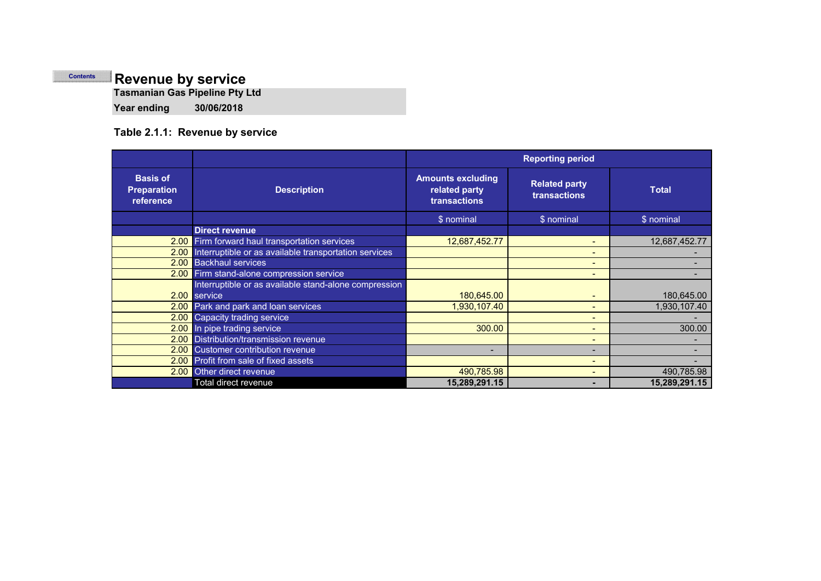# **Revenue by service**

**Tasmanian Gas Pipeline Pty Ltd**

**Year ending 30/06/2018**

# **Table 2.1.1: Revenue by service**

|                                                    |                                                       |                                                           | <b>Reporting period</b>                     |               |
|----------------------------------------------------|-------------------------------------------------------|-----------------------------------------------------------|---------------------------------------------|---------------|
| <b>Basis of</b><br><b>Preparation</b><br>reference | <b>Description</b>                                    | <b>Amounts excluding</b><br>related party<br>transactions | <b>Related party</b><br><b>transactions</b> | <b>Total</b>  |
|                                                    |                                                       | \$ nominal                                                | \$ nominal                                  | \$ nominal    |
|                                                    | <b>Direct revenue</b>                                 |                                                           |                                             |               |
| 2.00                                               | Firm forward haul transportation services             | 12,687,452.77                                             | $\sim$                                      | 12,687,452.77 |
| 2.00                                               | Interruptible or as available transportation services |                                                           | $\qquad \qquad$                             |               |
| 2.00                                               | <b>Backhaul services</b>                              |                                                           | $\blacksquare$                              |               |
|                                                    | 2.00 Firm stand-alone compression service             |                                                           | $\overline{\phantom{0}}$                    |               |
|                                                    | Interruptible or as available stand-alone compression |                                                           |                                             |               |
|                                                    | 2.00 service                                          | 180,645.00                                                | $\blacksquare$                              | 180,645.00    |
|                                                    | 2.00 Park and park and loan services                  | 1,930,107.40                                              | $\blacksquare$                              | 1,930,107.40  |
| 2.00                                               | Capacity trading service                              |                                                           | $\qquad \qquad$                             |               |
|                                                    | 2.00 In pipe trading service                          | 300.00                                                    | $\blacksquare$                              | 300.00        |
| 2.00                                               | Distribution/transmission revenue                     |                                                           | $\qquad \qquad$                             |               |
| 2.00                                               | Customer contribution revenue                         |                                                           | $\overline{\phantom{0}}$                    |               |
|                                                    | 2.00 Profit from sale of fixed assets                 |                                                           | $\blacksquare$                              |               |
| 2.00                                               | Other direct revenue                                  | 490,785.98                                                | $\blacksquare$                              | 490,785.98    |
|                                                    | Total direct revenue                                  | 15,289,291.15                                             | $\overline{\phantom{0}}$                    | 15,289,291.15 |

**Contents**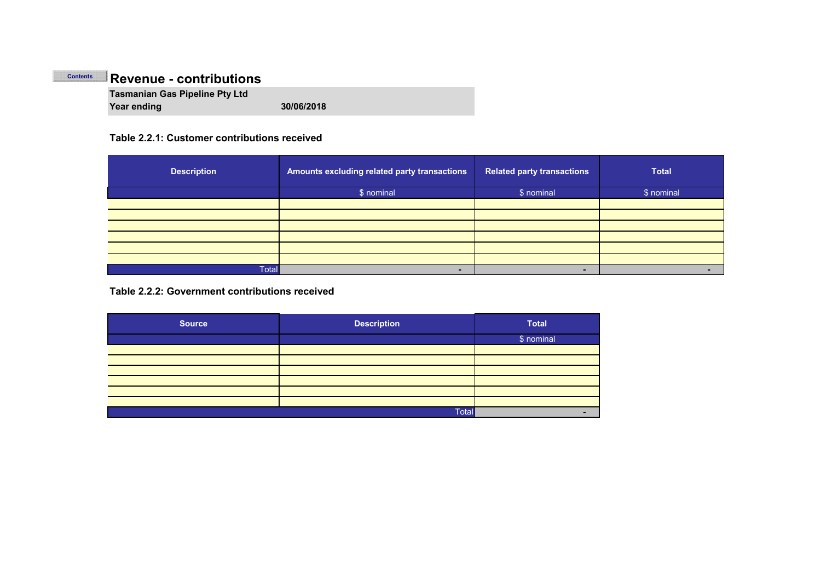#### **Revenue - contributions Contents**

**Tasmanian Gas Pipeline Pty Ltd Year ending 30/06/2018**

### **Table 2.2.1: Customer contributions received**

| <b>Description</b> | Amounts excluding related party transactions | <b>Related party transactions</b> | <b>Total</b> |
|--------------------|----------------------------------------------|-----------------------------------|--------------|
|                    | \$ nominal                                   | \$ nominal                        | \$ nominal   |
|                    |                                              |                                   |              |
|                    |                                              |                                   |              |
|                    |                                              |                                   |              |
|                    |                                              |                                   |              |
|                    |                                              |                                   |              |
|                    |                                              |                                   |              |
| <b>Total</b>       | -                                            | -                                 |              |

**Table 2.2.2: Government contributions received**

| <b>Source</b> | <b>Description</b> | <b>Total</b> |
|---------------|--------------------|--------------|
|               |                    | \$ nominal   |
|               |                    |              |
|               |                    |              |
|               |                    |              |
|               |                    |              |
|               |                    |              |
|               |                    |              |
|               | Total              |              |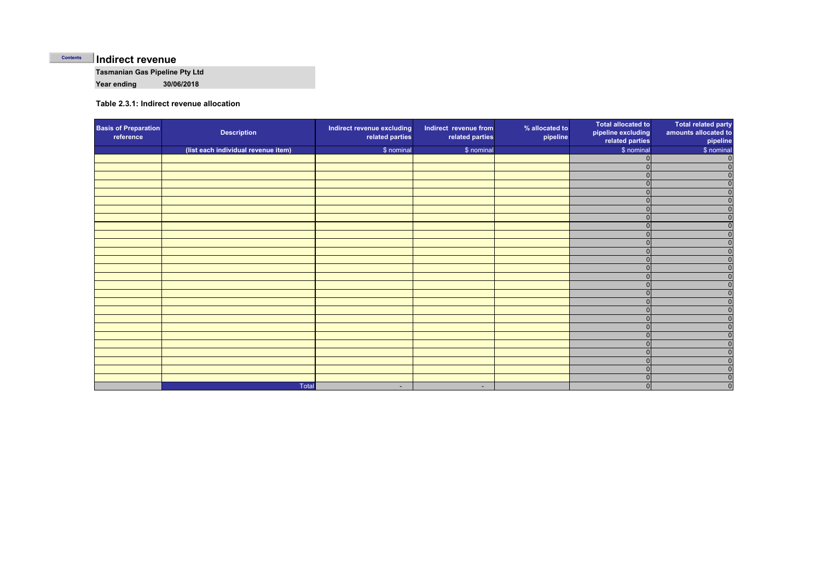#### **Indirect revenue Contents**

**Tasmanian Gas Pipeline Pty Ltd**

**Year ending 30/06/2018**

#### **Table 2.3.1: Indirect revenue allocation**

| <b>Basis of Preparation</b><br>reference | <b>Description</b>                  | Indirect revenue excluding<br>related parties | Indirect revenue from<br>related parties | % allocated to<br>pipeline | <b>Total allocated to</b><br>pipeline excluding<br>related parties | <b>Total related party</b><br>amounts allocated to<br>pipeline |
|------------------------------------------|-------------------------------------|-----------------------------------------------|------------------------------------------|----------------------------|--------------------------------------------------------------------|----------------------------------------------------------------|
|                                          | (list each individual revenue item) | \$ nominal                                    | \$ nominal                               |                            | \$ nominal                                                         | \$ nominal                                                     |
|                                          |                                     |                                               |                                          |                            | $\Omega$                                                           | $\mathbf 0$                                                    |
|                                          |                                     |                                               |                                          |                            | $\Omega$                                                           | $\mathbf 0$                                                    |
|                                          |                                     |                                               |                                          |                            |                                                                    | $\mathbf{0}$                                                   |
|                                          |                                     |                                               |                                          |                            |                                                                    | $\Omega$                                                       |
|                                          |                                     |                                               |                                          |                            | $\Omega$                                                           | $\mathbf 0$                                                    |
|                                          |                                     |                                               |                                          |                            | $\Omega$                                                           | $\mathbf{0}$                                                   |
|                                          |                                     |                                               |                                          |                            | $\Omega$                                                           | $\mathbf{0}$                                                   |
|                                          |                                     |                                               |                                          |                            | $\Omega$                                                           | $\mathbf{0}$                                                   |
|                                          |                                     |                                               |                                          |                            |                                                                    | $\Omega$                                                       |
|                                          |                                     |                                               |                                          |                            | $\Omega$                                                           | $\Omega$                                                       |
|                                          |                                     |                                               |                                          |                            | $\Omega$                                                           | $\Omega$                                                       |
|                                          |                                     |                                               |                                          |                            | $\Omega$                                                           | $\mathbf{0}$                                                   |
|                                          |                                     |                                               |                                          |                            | $\Omega$                                                           | $\mathbf{0}$                                                   |
|                                          |                                     |                                               |                                          |                            |                                                                    | $\Omega$                                                       |
|                                          |                                     |                                               |                                          |                            |                                                                    | $\Omega$                                                       |
|                                          |                                     |                                               |                                          |                            |                                                                    | $\Omega$                                                       |
|                                          |                                     |                                               |                                          |                            | $\Omega$                                                           | $\Omega$                                                       |
|                                          |                                     |                                               |                                          |                            | $\Omega$                                                           | $\mathbf{0}$                                                   |
|                                          |                                     |                                               |                                          |                            | $\Omega$                                                           | $\mathbf{0}$                                                   |
|                                          |                                     |                                               |                                          |                            |                                                                    | $\Omega$                                                       |
|                                          |                                     |                                               |                                          |                            |                                                                    | $\mathbf{0}$                                                   |
|                                          |                                     |                                               |                                          |                            | $\Omega$                                                           | $\mathbf{0}$                                                   |
|                                          |                                     |                                               |                                          |                            | $\cap$                                                             | $\Omega$                                                       |
|                                          |                                     |                                               |                                          |                            |                                                                    | $\mathbf 0$                                                    |
|                                          |                                     |                                               |                                          |                            | $\Omega$                                                           | $\mathbf 0$                                                    |
|                                          |                                     |                                               |                                          |                            | $\Omega$                                                           | $\mathbf{0}$                                                   |
|                                          |                                     |                                               |                                          |                            | $\Omega$                                                           | $\overline{0}$                                                 |
|                                          | Total                               | $\sim$                                        | ٠                                        |                            |                                                                    | $\pmb{0}$                                                      |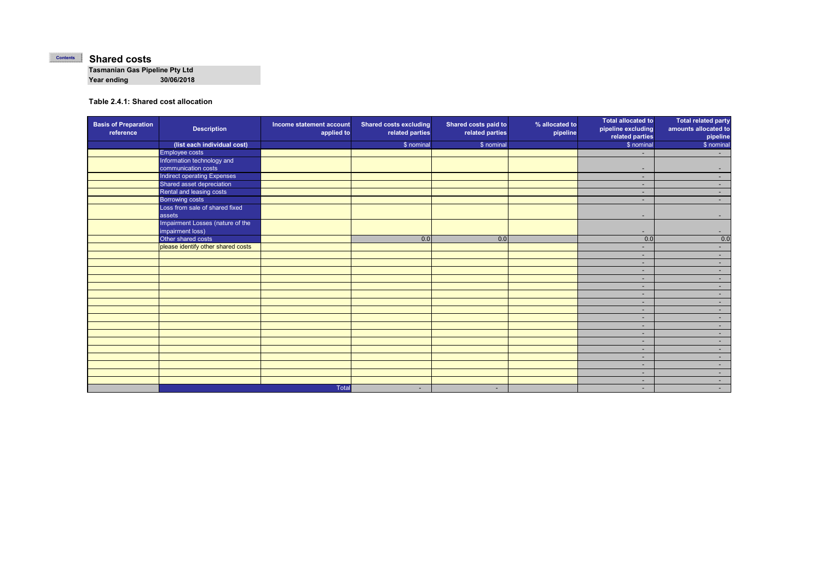#### **Shared costs Contents**

**Tasmanian Gas Pipeline Pty Ltd Year ending 30/06/2018**

**Table 2.4.1: Shared cost allocation**

| <b>Basis of Preparation</b><br>reference | <b>Description</b>                 | Income statement account<br>applied to | <b>Shared costs excluding</b><br>related parties | Shared costs paid to<br>related parties | % allocated to<br>pipeline | <b>Total allocated to</b><br>pipeline excluding<br>related parties | <b>Total related party</b><br>amounts allocated to<br>pipeline |
|------------------------------------------|------------------------------------|----------------------------------------|--------------------------------------------------|-----------------------------------------|----------------------------|--------------------------------------------------------------------|----------------------------------------------------------------|
|                                          | (list each individual cost)        |                                        | \$ nominal                                       | \$ nominal                              |                            | \$ nominal                                                         | \$ nominal                                                     |
|                                          | Employee costs                     |                                        |                                                  |                                         |                            | $\overline{\phantom{0}}$                                           | $\sim$                                                         |
|                                          | Information technology and         |                                        |                                                  |                                         |                            |                                                                    |                                                                |
|                                          | communication costs                |                                        |                                                  |                                         |                            | $\overline{\phantom{a}}$                                           | ۰.                                                             |
|                                          | Indirect operating Expenses        |                                        |                                                  |                                         |                            | $\sim$                                                             | $\sim$                                                         |
|                                          | Shared asset depreciation          |                                        |                                                  |                                         |                            | ۰                                                                  | $\sim$                                                         |
|                                          | Rental and leasing costs           |                                        |                                                  |                                         |                            | ٠                                                                  | $\sim$                                                         |
|                                          | <b>Borrowing costs</b>             |                                        |                                                  |                                         |                            | ٠                                                                  | $\sim$                                                         |
|                                          | Loss from sale of shared fixed     |                                        |                                                  |                                         |                            |                                                                    |                                                                |
|                                          | assets                             |                                        |                                                  |                                         |                            | $\sim$                                                             | $\overline{\phantom{a}}$                                       |
|                                          | Impairment Losses (nature of the   |                                        |                                                  |                                         |                            |                                                                    |                                                                |
|                                          | impairment loss)                   |                                        |                                                  |                                         |                            | ٠                                                                  | ۰.                                                             |
|                                          | Other shared costs                 |                                        | 0.0                                              | 0.0                                     |                            | 0.0                                                                | 0.0                                                            |
|                                          | please identify other shared costs |                                        |                                                  |                                         |                            | ۰                                                                  | $\sim$                                                         |
|                                          |                                    |                                        |                                                  |                                         |                            | ۰                                                                  | $\sim$                                                         |
|                                          |                                    |                                        |                                                  |                                         |                            | ۰                                                                  | $\sim$                                                         |
|                                          |                                    |                                        |                                                  |                                         |                            | $\sim$                                                             | $\sim$                                                         |
|                                          |                                    |                                        |                                                  |                                         |                            | ٠                                                                  | $\sim$                                                         |
|                                          |                                    |                                        |                                                  |                                         |                            | ٠                                                                  | $\sim$                                                         |
|                                          |                                    |                                        |                                                  |                                         |                            | ۰                                                                  | $\sim$                                                         |
|                                          |                                    |                                        |                                                  |                                         |                            | ٠                                                                  | $\sim$                                                         |
|                                          |                                    |                                        |                                                  |                                         |                            | ۰                                                                  | $\sim$                                                         |
|                                          |                                    |                                        |                                                  |                                         |                            | ۰                                                                  | $\sim$                                                         |
|                                          |                                    |                                        |                                                  |                                         |                            | $\sim$                                                             | $\sim$                                                         |
|                                          |                                    |                                        |                                                  |                                         |                            | ۰                                                                  | $\sim$                                                         |
|                                          |                                    |                                        |                                                  |                                         |                            | ٠                                                                  | $\sim$                                                         |
|                                          |                                    |                                        |                                                  |                                         |                            | ٠.                                                                 | $\sim$                                                         |
|                                          |                                    |                                        |                                                  |                                         |                            | $\sim$                                                             | $\sim$                                                         |
|                                          |                                    |                                        |                                                  |                                         |                            | ٠                                                                  | $\sim$                                                         |
|                                          |                                    |                                        |                                                  |                                         |                            | ٠                                                                  | $\sim$                                                         |
|                                          |                                    |                                        |                                                  |                                         |                            | ۰                                                                  | $\sim$                                                         |
|                                          |                                    | <b>Total</b>                           | $\overline{\phantom{a}}$                         | ٠                                       |                            | $\overline{\phantom{a}}$                                           | $\sim$                                                         |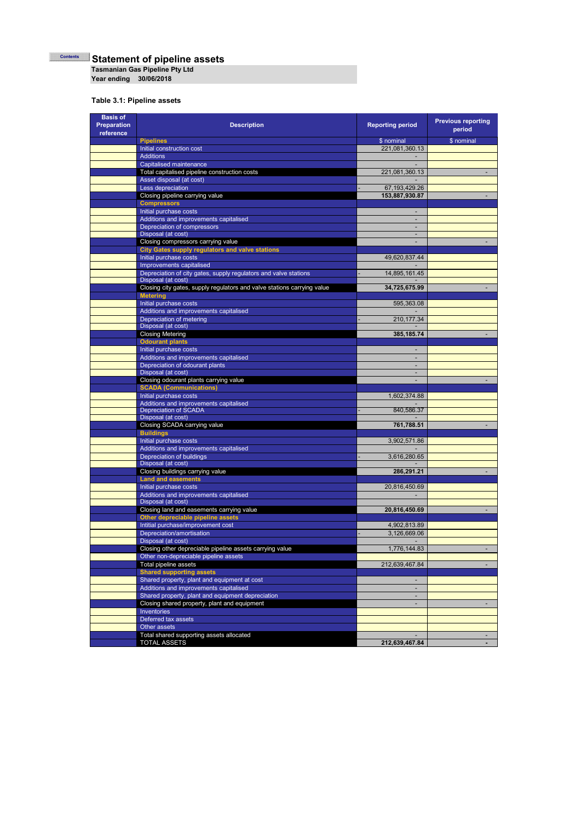**Statement of pipeline assets Contents**

**Tasmanian Gas Pipeline Pty Ltd**

**Year ending 30/06/2018**

### **Table 3.1: Pipeline assets**

| <b>Basis of</b><br>Preparation<br>reference | <b>Description</b>                                                                          | <b>Reporting period</b>                    | <b>Previous reporting</b><br>period |
|---------------------------------------------|---------------------------------------------------------------------------------------------|--------------------------------------------|-------------------------------------|
|                                             | <b>Pipelines</b>                                                                            | \$ nominal                                 | \$ nominal                          |
|                                             | Initial construction cost                                                                   | 221,081,360.13                             |                                     |
|                                             | <b>Additions</b>                                                                            |                                            |                                     |
|                                             | Capitalised maintenance                                                                     |                                            |                                     |
|                                             | Total capitalised pipeline construction costs<br>Asset disposal (at cost)                   | 221,081,360.13                             |                                     |
|                                             | Less depreciation                                                                           | 67, 193, 429. 26                           |                                     |
|                                             | Closing pipeline carrying value                                                             | 153,887,930.87                             |                                     |
|                                             | <b>Compressors</b>                                                                          |                                            |                                     |
|                                             | Initial purchase costs                                                                      |                                            |                                     |
|                                             | Additions and improvements capitalised                                                      | $\overline{\phantom{a}}$                   |                                     |
|                                             | Depreciation of compressors                                                                 |                                            |                                     |
|                                             | Disposal (at cost)<br>Closing compressors carrying value                                    | $\overline{\phantom{a}}$<br>$\overline{a}$ |                                     |
|                                             | <b>City Gates supply regulators and valve stations</b>                                      |                                            |                                     |
|                                             | Initial purchase costs                                                                      | 49,620,837.44                              |                                     |
|                                             | Improvements capitalised                                                                    |                                            |                                     |
|                                             | Depreciation of city gates, supply regulators and valve stations                            | 14,895,161.45                              |                                     |
|                                             | Disposal (at cost)                                                                          |                                            |                                     |
|                                             | Closing city gates, supply regulators and valve stations carrying value                     | 34,725,675.99                              |                                     |
|                                             | <b>Metering</b><br>Initial purchase costs                                                   |                                            |                                     |
|                                             | Additions and improvements capitalised                                                      | 595,363.08                                 |                                     |
|                                             | Depreciation of metering                                                                    | 210, 177.34                                |                                     |
|                                             | Disposal (at cost)                                                                          |                                            |                                     |
|                                             | <b>Closing Metering</b>                                                                     | 385, 185.74                                |                                     |
|                                             | <b>Odourant plants</b>                                                                      |                                            |                                     |
|                                             | Initial purchase costs                                                                      | $\overline{\phantom{a}}$                   |                                     |
|                                             | Additions and improvements capitalised<br>Depreciation of odourant plants                   |                                            |                                     |
|                                             | Disposal (at cost)                                                                          | ٠                                          |                                     |
|                                             | Closing odourant plants carrying value                                                      |                                            |                                     |
|                                             | <b>SCADA (Communications)</b>                                                               |                                            |                                     |
|                                             | Initial purchase costs                                                                      | 1,602,374.88                               |                                     |
|                                             | Additions and improvements capitalised                                                      |                                            |                                     |
|                                             | Depreciation of SCADA<br>Disposal (at cost)                                                 | 840,586.37                                 |                                     |
|                                             | Closing SCADA carrying value                                                                | 761,788.51                                 | ÷,                                  |
|                                             | <b>Buildings</b>                                                                            |                                            |                                     |
|                                             | Initial purchase costs                                                                      | 3,902,571.86                               |                                     |
|                                             | Additions and improvements capitalised                                                      |                                            |                                     |
|                                             | Depreciation of buildings                                                                   | 3,616,280.65                               |                                     |
|                                             | Disposal (at cost)<br>Closing buildings carrying value                                      | 286,291.21                                 | ٠                                   |
|                                             | <b>Land and easements</b>                                                                   |                                            |                                     |
|                                             | Initial purchase costs                                                                      | 20,816,450.69                              |                                     |
|                                             | Additions and improvements capitalised                                                      |                                            |                                     |
|                                             | Disposal (at cost)                                                                          |                                            |                                     |
|                                             | Closing land and easements carrying value                                                   | 20,816,450.69                              |                                     |
|                                             | Other depreciable pipeline assets<br>Intitial purchase/improvement cost                     | 4,902,813.89                               |                                     |
|                                             | Depreciation/amortisation                                                                   | 3,126,669.06                               |                                     |
|                                             | Disposal (at cost)                                                                          |                                            |                                     |
|                                             | Closing other depreciable pipeline assets carrying value                                    | 1,776,144.83                               |                                     |
|                                             | Other non-depreciable pipeline assets                                                       |                                            |                                     |
|                                             | Total pipeline assets                                                                       | 212,639,467.84                             |                                     |
|                                             | <b>Shared supporting assets</b>                                                             |                                            |                                     |
|                                             | Shared property, plant and equipment at cost                                                |                                            |                                     |
|                                             | Additions and improvements capitalised<br>Shared property, plant and equipment depreciation | $\sim$                                     |                                     |
|                                             | Closing shared property, plant and equipment                                                | $\blacksquare$                             | ٠                                   |
|                                             | <b>Inventories</b>                                                                          |                                            |                                     |
|                                             | Deferred tax assets                                                                         |                                            |                                     |
|                                             | Other assets                                                                                |                                            |                                     |
|                                             | Total shared supporting assets allocated                                                    |                                            | ٠                                   |
|                                             | <b>TOTAL ASSETS</b>                                                                         | 212,639,467.84                             |                                     |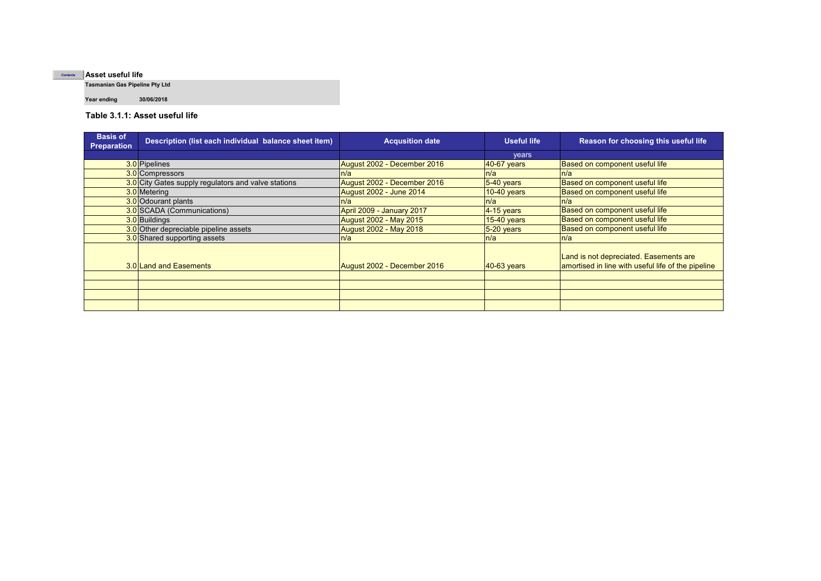#### **Asset useful lifeContents**

**Tasmanian Gas Pipeline Pty Ltd**

**Year ending 30/06/2018**

**Table 3.1.1: Asset useful life**

| <b>Basis of</b><br><b>Preparation</b> | Description (list each individual balance sheet item) | <b>Acqusition date</b>         | <b>Useful life</b> | Reason for choosing this useful life                                                         |
|---------------------------------------|-------------------------------------------------------|--------------------------------|--------------------|----------------------------------------------------------------------------------------------|
|                                       |                                                       |                                | vears              |                                                                                              |
|                                       | 3.0 Pipelines                                         | August 2002 - December 2016    | <b>40-67 years</b> | Based on component useful life                                                               |
|                                       | 3.0 Compressors                                       | n/a                            | n/a                | n/a                                                                                          |
|                                       | 3.0 City Gates supply regulators and valve stations   | August 2002 - December 2016    | $5-40$ years       | Based on component useful life                                                               |
|                                       | 3.0 Metering                                          | <b>August 2002 - June 2014</b> | $10-40$ years      | Based on component useful life                                                               |
|                                       | 3.0 Odourant plants                                   | ln/a                           | ln/a               | n/a                                                                                          |
|                                       | 3.0 SCADA (Communications)                            | April 2009 - January 2017      | $4-15$ years       | Based on component useful life                                                               |
|                                       | 3.0 Buildings                                         | <b>August 2002 - May 2015</b>  | <b>15-40 years</b> | Based on component useful life                                                               |
|                                       | 3.0 Other depreciable pipeline assets                 | <b>August 2002 - May 2018</b>  | $5-20$ years       | Based on component useful life                                                               |
|                                       | 3.0 Shared supporting assets                          | n/a                            | n/a                | n/a                                                                                          |
|                                       | 3.0 Land and Easements                                | August 2002 - December 2016    | <b>40-63 years</b> | Land is not depreciated. Easements are<br>amortised in line with useful life of the pipeline |
|                                       |                                                       |                                |                    |                                                                                              |
|                                       |                                                       |                                |                    |                                                                                              |
|                                       |                                                       |                                |                    |                                                                                              |
|                                       |                                                       |                                |                    |                                                                                              |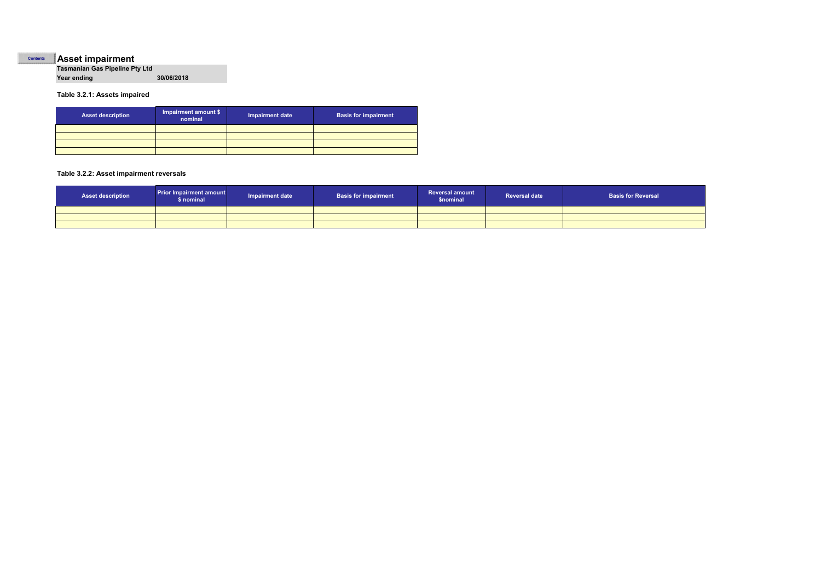#### **Asset impairment Contents**

**Tasmanian Gas Pipeline Pty Ltd Year ending 30/06/2018**

#### **Table 3.2.1: Assets impaired**

| <b>Asset description</b> | Impairment amount \$<br>nominal | <b>Impairment date</b> | <b>Basis for impairment</b> |
|--------------------------|---------------------------------|------------------------|-----------------------------|
|                          |                                 |                        |                             |
|                          |                                 |                        |                             |
|                          |                                 |                        |                             |
|                          |                                 |                        |                             |

#### **Table 3.2.2: Asset impairment reversals**

| <b>Asset description</b> | <b>Prior Impairment amount</b><br>\$ nominal | <b>Impairment date</b> | <b>Basis for impairment</b> | <b>Reversal amount</b><br><b>\$nominal</b> | <b>Reversal date</b> | <b>Basis for Reversal</b> |
|--------------------------|----------------------------------------------|------------------------|-----------------------------|--------------------------------------------|----------------------|---------------------------|
|                          |                                              |                        |                             |                                            |                      |                           |
|                          |                                              |                        |                             |                                            |                      |                           |
|                          |                                              |                        |                             |                                            |                      |                           |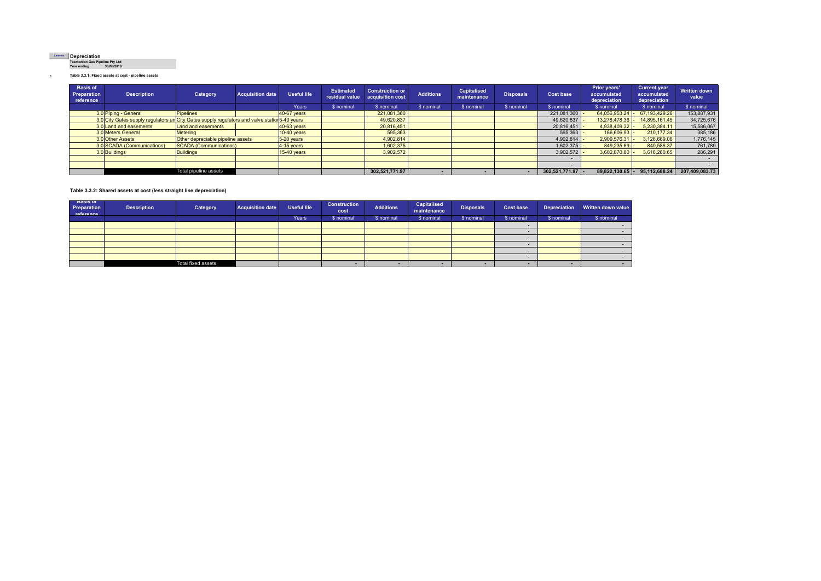#### **Contents**

**Depreciation Tasmanian Gas Pipeline Pty Ltd Year ending 30/06/2018**

x **Table 3.3.1: Fixed assets at cost - pipeline assets**

| <b>Basis of</b><br>Preparation<br>reference | <b>Description</b>                                                                            | Category                          | <b>Acquisition date</b> | <b>Useful life</b> | <b>Estimated</b><br>residual value | <b>Construction or</b><br>acquisition cost | <b>Additions</b> | <b>Capitalised</b><br>maintenance | <b>Disposals</b> | <b>Cost base</b> | Prior years'<br>accumulated<br>depreciation | <b>Current year</b><br>accumulated<br>depreciation | <b>Written down</b><br>value |
|---------------------------------------------|-----------------------------------------------------------------------------------------------|-----------------------------------|-------------------------|--------------------|------------------------------------|--------------------------------------------|------------------|-----------------------------------|------------------|------------------|---------------------------------------------|----------------------------------------------------|------------------------------|
|                                             |                                                                                               |                                   |                         | Years              | \$ nominal                         | \$ nominal                                 | \$ nominal       | \$ nominal                        | \$ nominal       | \$ nominal       | \$ nominal                                  | \$ nominal                                         | \$ nominal                   |
|                                             | 3.0 Piping - General                                                                          | <b>Pipelines</b>                  |                         | 40-67 years        |                                    | 221,081,360                                |                  |                                   |                  | 221,081,360      | 64,056,953.24                               | 67.193.429.26                                      | 153,887,931                  |
|                                             | 3.0 City Gates supply regulators an City Gates supply regulators and valve station 5-40 years |                                   |                         |                    |                                    | 49,620,837                                 |                  |                                   |                  | 49,620,837       | 13,278,478.36                               | 14.895.161.45                                      | 34,725,676                   |
|                                             | 3.0 Land and easements                                                                        | Land and easements                |                         | 40-63 years        |                                    | 20,816,451                                 |                  |                                   |                  | 20,816,451       | 4,938,409.32                                | 5,230,384.11                                       | 15,586,067                   |
|                                             | 3.0 Meters General                                                                            | Meterina                          |                         | $10-40$ years      |                                    | 595,363                                    |                  |                                   |                  | 595.363          | 186,606.93 -                                | 210.177.34                                         | 385,186                      |
|                                             | 3.0 Other Assets                                                                              | Other depreciable pipeline assets |                         | $5-20$ years       |                                    | 4,902,814                                  |                  |                                   |                  | 4,902,814        | 2,909,576.31                                | 3,126,669.06                                       | 1,776,145                    |
|                                             | 3.0 SCADA (Communications)                                                                    | SCADA (Communications)            |                         | 4-15 years         |                                    | 1,602,375                                  |                  |                                   |                  | 1,602,375        | 849,235.69                                  | 840,586.37                                         | 761,789                      |
|                                             | 3.0 Buildings                                                                                 | <b>Buildings</b>                  |                         | $15-40$ years      |                                    | 3.902.572                                  |                  |                                   |                  | 3,902,572        | 3,602,870.80                                | 3.616.280.65                                       | 286,291                      |
|                                             |                                                                                               |                                   |                         |                    |                                    |                                            |                  |                                   |                  |                  |                                             |                                                    |                              |
|                                             |                                                                                               |                                   |                         |                    |                                    |                                            |                  |                                   |                  |                  |                                             |                                                    |                              |
|                                             |                                                                                               | Total pipeline assets             |                         |                    |                                    | 302.521.771.97                             |                  |                                   |                  | 302,521,771.97 - | $89.822.130.65$ -                           | 95.112.688.24                                      | 207.409.083.73               |

#### **Table 3.3.2: Shared assets at cost (less straight line depreciation)**

| <b>Basis of</b><br>Preparation<br>reference | <b>Description</b> | Category                  | <b>Acquisition date</b> | <b>Useful life</b> | <b>Construction</b><br>cost | <b>Additions</b> | Capitalised<br>maintenance | <b>Disposals</b>         | <b>Cost base</b> | <b>Depreciation</b> | Written down value |
|---------------------------------------------|--------------------|---------------------------|-------------------------|--------------------|-----------------------------|------------------|----------------------------|--------------------------|------------------|---------------------|--------------------|
|                                             |                    |                           |                         | Years <sup>'</sup> | \$ nominal                  | \$ nominal       | \$ nominal                 | \$ nominal<br>\$ nominal |                  | \$ nominal          | \$ nominal         |
|                                             |                    |                           |                         |                    |                             |                  |                            |                          |                  |                     |                    |
|                                             |                    |                           |                         |                    |                             |                  |                            |                          |                  |                     |                    |
|                                             |                    |                           |                         |                    |                             |                  |                            |                          |                  |                     |                    |
|                                             |                    |                           |                         |                    |                             |                  |                            |                          |                  |                     |                    |
|                                             |                    |                           |                         |                    |                             |                  |                            |                          |                  |                     |                    |
|                                             |                    |                           |                         |                    |                             |                  |                            |                          |                  |                     |                    |
|                                             |                    | <b>Total fixed assets</b> |                         |                    | -                           |                  |                            |                          |                  |                     |                    |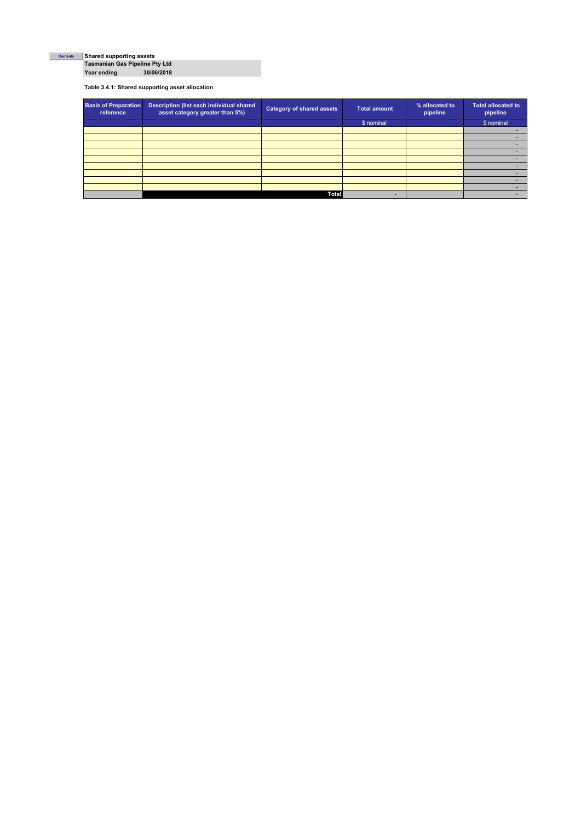## **Shared supporting assets Tasmanian Gas Pipeline Pty Ltd ContentsYear ending 30/06/2018**

**Table 3.4.1: Shared supporting asset allocation**

| <b>Basis of Preparation</b><br>reference | Description (list each individual shared<br>asset category greater than 5%) | <b>Category of shared assets</b> | <b>Total amount</b> | % allocated to<br>pipeline | <b>Total allocated to</b><br>pipeline |
|------------------------------------------|-----------------------------------------------------------------------------|----------------------------------|---------------------|----------------------------|---------------------------------------|
|                                          |                                                                             |                                  | \$ nominal          |                            | \$ nominal                            |
|                                          |                                                                             |                                  |                     |                            |                                       |
|                                          |                                                                             |                                  |                     |                            |                                       |
|                                          |                                                                             |                                  |                     |                            |                                       |
|                                          |                                                                             |                                  |                     |                            |                                       |
|                                          |                                                                             |                                  |                     |                            |                                       |
|                                          |                                                                             |                                  |                     |                            |                                       |
|                                          |                                                                             |                                  |                     |                            |                                       |
|                                          |                                                                             |                                  |                     |                            |                                       |
|                                          |                                                                             |                                  |                     |                            |                                       |
|                                          |                                                                             | <b>Total</b>                     |                     |                            |                                       |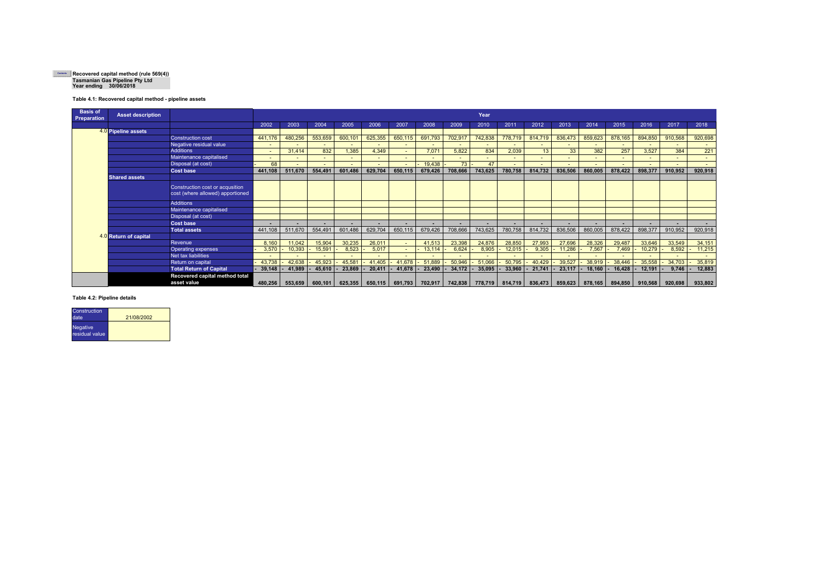# **Recovered capital method (rule 569(4)) Tasmanian Gas Pipeline Pty Ltd Year ending 30/06/2018**

#### **Table 4.1: Recovered capital method - pipeline assets**

| <b>Basis of</b><br><b>Preparation</b> | <b>Asset description</b> |                                               |                |         |                          |                          |         |                |         |         | Year    |                          |                          |         |         |         |         |         |         |
|---------------------------------------|--------------------------|-----------------------------------------------|----------------|---------|--------------------------|--------------------------|---------|----------------|---------|---------|---------|--------------------------|--------------------------|---------|---------|---------|---------|---------|---------|
|                                       |                          |                                               | 2002           | 2003    | 2004                     | 2005                     | 2006    | 2007           | 2008    | 2009    | 2010    | 2011                     | 2012                     | 2013    | 2014    | 2015    | 2016    | 2017    | 2018    |
|                                       | 4.0 Pipeline assets      |                                               |                |         |                          |                          |         |                |         |         |         |                          |                          |         |         |         |         |         |         |
|                                       |                          | <b>Construction cost</b>                      | 441,176        | 480,256 | 553,659                  | 600,101                  | 625,355 | 650,115        | 691,793 | 702,917 | 742,838 | 778,719                  | 814,719                  | 836,473 | 859,623 | 878,165 | 894,850 | 910,568 | 920,698 |
|                                       |                          | Negative residual value                       |                |         |                          |                          |         |                |         |         |         |                          | $\blacksquare$           |         |         |         |         |         |         |
|                                       |                          | <b>Additions</b>                              | $\blacksquare$ | 31.414  | 832                      | 1,385                    | 4,349   | $\blacksquare$ | 7.071   | 5.822   | 834     | 2,039                    | 13                       | 33      | 382     | 257     | 3,527   | 384     | 221     |
|                                       |                          | Maintenance capitalised                       | $\blacksquare$ |         | $\blacksquare$           | $\overline{\phantom{0}}$ |         |                |         |         |         |                          | -                        |         |         |         |         |         |         |
|                                       |                          | Disposal (at cost)                            | 68             |         |                          |                          |         |                | 19,438  | 73      | 47      |                          | $\overline{\phantom{a}}$ |         |         |         |         |         |         |
|                                       |                          | <b>Cost base</b>                              | 441,108        | 511,670 | 554,491                  | 601,486                  | 629,704 | 650,115        | 679,426 | 708,666 | 743,625 | 780,758                  | 814,732                  | 836,506 | 860,005 | 878,422 | 898,377 | 910,952 | 920,918 |
|                                       | <b>Shared assets</b>     |                                               |                |         |                          |                          |         |                |         |         |         |                          |                          |         |         |         |         |         |         |
|                                       |                          | Construction cost or acqusition               |                |         |                          |                          |         |                |         |         |         |                          |                          |         |         |         |         |         |         |
|                                       |                          | cost (where allowed) apportioned              |                |         |                          |                          |         |                |         |         |         |                          |                          |         |         |         |         |         |         |
|                                       |                          | Additions                                     |                |         |                          |                          |         |                |         |         |         |                          |                          |         |         |         |         |         |         |
|                                       |                          | Maintenance capitalised                       |                |         |                          |                          |         |                |         |         |         |                          |                          |         |         |         |         |         |         |
|                                       |                          | Disposal (at cost)                            |                |         |                          |                          |         |                |         |         |         |                          |                          |         |         |         |         |         |         |
|                                       |                          | <b>Cost base</b>                              |                |         | $\overline{\phantom{a}}$ | ۰                        | $\sim$  |                |         | ٠       | ۰.      | $\overline{\phantom{a}}$ | $\blacksquare$           |         |         |         |         | ٠       | $\sim$  |
|                                       |                          | <b>Total assets</b>                           | 441.108        | 511.670 | 554.491                  | 601.486                  | 629.704 | 650.115        | 679,426 | 708.666 | 743.625 | 780,758                  | 814,732                  | 836,506 | 860.005 | 878.422 | 898,377 | 910,952 | 920,918 |
|                                       | 4.0 Return of capital    |                                               |                |         |                          |                          |         |                |         |         |         |                          |                          |         |         |         |         |         |         |
|                                       |                          | Revenue                                       | 8.160          | 11,042  | 15,904                   | 30,235                   | 26,011  |                | 41,513  | 23,398  | 24,876  | 28,850                   | 27,993                   | 27,696  | 28,326  | 29,487  | 33,646  | 33,549  | 34,151  |
|                                       |                          | <b>Operating expenses</b>                     | 3,570          | 10,393  | 15,591                   | 8,523                    | 5,017   |                | 13,114  | 6.624   | 8,905   | 12,015                   | 9,305                    | 11,286  | 7,567   | 7,469   | 10,279  | 8,592   | 11,215  |
|                                       |                          | Net tax liabilities                           |                |         |                          |                          |         |                |         |         |         |                          |                          |         |         |         |         |         |         |
|                                       |                          | Return on capital                             | 43.738         | 42.638  | 45,923                   | 45,581                   | 41,405  | 41,678         | 51.889  | 50.946  | 51.066  | 50.795                   | 40,429                   | 39,527  | 38,919  | 38,446  | 35,558  | 34,703  | 35,819  |
|                                       |                          | <b>Total Return of Capital</b>                | 39,148         | 41,989  | 45,610                   | 23,869                   | 20,411  | 41,678         | 23,490  | 34,172  | 35,095  | 33,960                   | 21,741                   | 23,117  | 18,160  | 16,428  | 12,191  | 9,746   | 12,883  |
|                                       |                          | Recovered capital method total<br>asset value | 480.256        | 553.659 | 600.101                  | 625,355                  | 650,115 | 691,793        | 702,917 | 742,838 | 778,719 | 814,719                  | 836,473                  | 859,623 | 878,165 | 894.850 | 910,568 | 920,698 | 933,802 |

#### **Table 4.2: Pipeline details**

| Construction<br>date.       | 21/08/2002 |
|-----------------------------|------------|
| Negative,<br>residual value |            |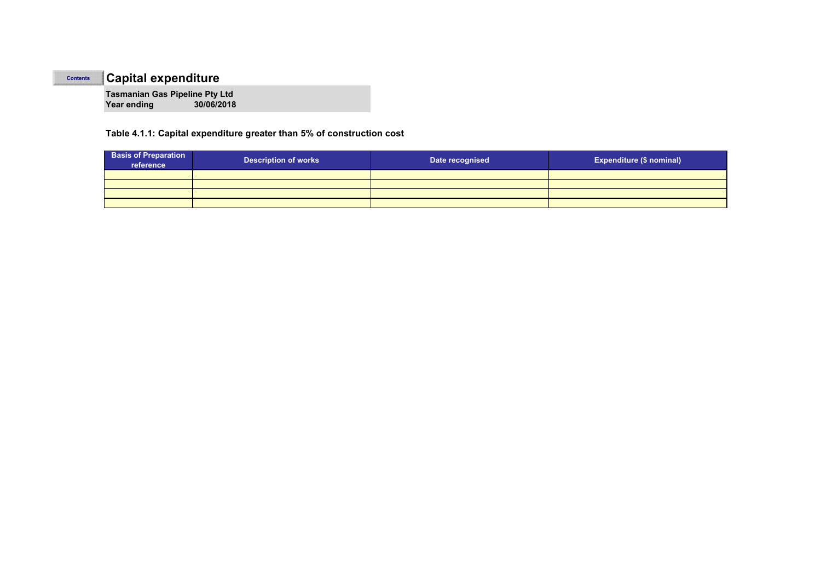#### **ContentsCapital expenditure**

**Tasmanian Gas Pipeline Pty Ltd Year ending 30/06/2018**

### **Table 4.1.1: Capital expenditure greater than 5% of construction cost**

| <b>Basis of Preparation</b><br>reference | <b>Description of works</b> | Date recognised | <b>Expenditure (\$ nominal)</b> |  |  |  |  |
|------------------------------------------|-----------------------------|-----------------|---------------------------------|--|--|--|--|
|                                          |                             |                 |                                 |  |  |  |  |
|                                          |                             |                 |                                 |  |  |  |  |
|                                          |                             |                 |                                 |  |  |  |  |
|                                          |                             |                 |                                 |  |  |  |  |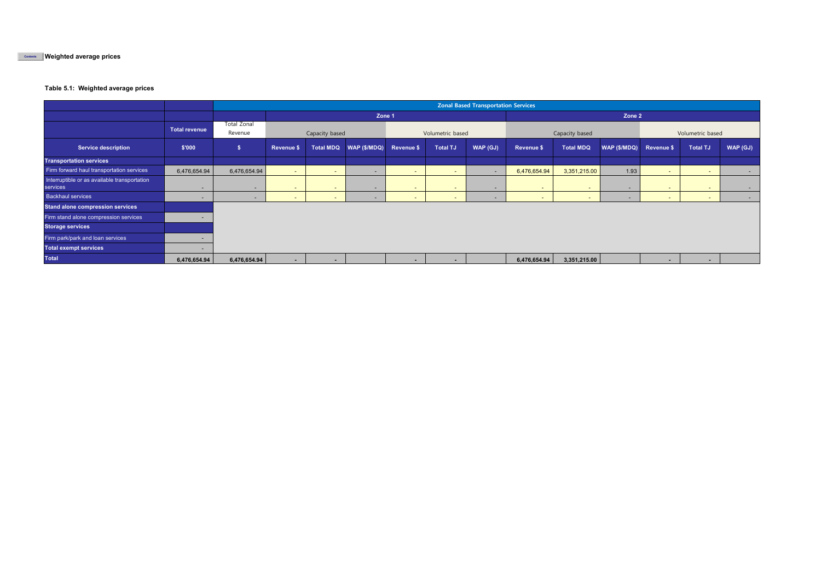**Weighted average prices Contents**

#### **Table 5.1: Weighted average prices**

|                                                          |                      | <b>Zonal Based Transportation Services</b> |                          |        |                                     |                  |                 |          |                |                  |                         |                          |                          |          |
|----------------------------------------------------------|----------------------|--------------------------------------------|--------------------------|--------|-------------------------------------|------------------|-----------------|----------|----------------|------------------|-------------------------|--------------------------|--------------------------|----------|
|                                                          |                      |                                            | Zone 1                   |        |                                     |                  |                 |          | Zone 2         |                  |                         |                          |                          |          |
|                                                          | <b>Total revenue</b> | <b>Total Zonal</b><br>Revenue              | Capacity based           |        |                                     | Volumetric based |                 |          | Capacity based |                  |                         | Volumetric based         |                          |          |
| <b>Service description</b>                               | \$'000               | $\sqrt{2}$                                 | Revenue \$               |        | Total MDQ   WAP (\$/MDQ) Revenue \$ |                  | <b>Total TJ</b> | WAP (GJ) | Revenue \$     | <b>Total MDQ</b> | WAP (\$/MDQ) Revenue \$ |                          | <b>Total TJ</b>          | WAP (GJ) |
| <b>Transportation services</b>                           |                      |                                            |                          |        |                                     |                  |                 |          |                |                  |                         |                          |                          |          |
| Firm forward haul transportation services                | 6,476,654.94         | 6,476,654.94                               | $\sim$                   | . .    |                                     | $\sim$           | $\sim$          |          | 6,476,654.94   | 3,351,215.00     | 1.93                    | $\sim$                   | $\sim$                   | $\sim$   |
| Interruptible or as available transportation<br>services | .                    | $\overline{\phantom{0}}$                   | $\sim$                   | $\sim$ | $\overline{\phantom{0}}$            | $\sim$           | $\sim$          | $\sim$   | $\sim$         | $\sim$           | $\sim$                  | $\sim$                   | $\overline{\phantom{a}}$ | $\sim$   |
| <b>Backhaul services</b>                                 |                      | $\sim$                                     | $\overline{\phantom{a}}$ | . .    |                                     | $\sim$           |                 |          | $\sim$         | $\sim$           |                         | $\sim$                   | $\overline{\phantom{a}}$ | $\sim$   |
| <b>Stand alone compression services</b>                  |                      |                                            |                          |        |                                     |                  |                 |          |                |                  |                         |                          |                          |          |
| Firm stand alone compression services                    |                      |                                            |                          |        |                                     |                  |                 |          |                |                  |                         |                          |                          |          |
| <b>Storage services</b>                                  |                      |                                            |                          |        |                                     |                  |                 |          |                |                  |                         |                          |                          |          |
| Firm park/park and loan services                         |                      |                                            |                          |        |                                     |                  |                 |          |                |                  |                         |                          |                          |          |
| <b>Total exempt services</b>                             |                      |                                            |                          |        |                                     |                  |                 |          |                |                  |                         |                          |                          |          |
| <b>Total</b>                                             | 6,476,654.94         | 6,476,654.94                               | $\sim$                   | $\sim$ |                                     | $\blacksquare$   |                 |          | 6,476,654.94   | 3,351,215.00     |                         | $\overline{\phantom{a}}$ | $\blacksquare$           |          |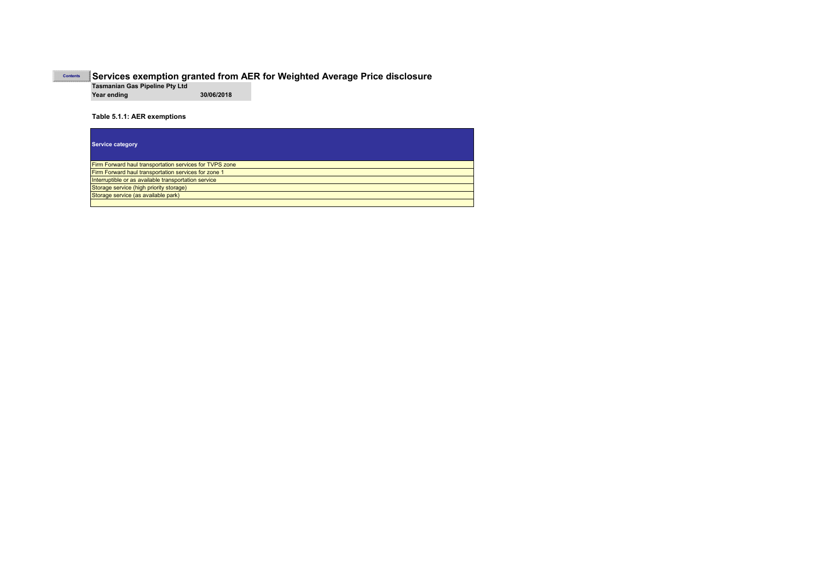#### **Services exemption granted from AER for Weighted Average Price disclosure Tasmanian Gas Pipeline Pty Ltd**

**Year ending 30/06/2018**

**Table 5.1.1: AER exemptions**

**Contents**